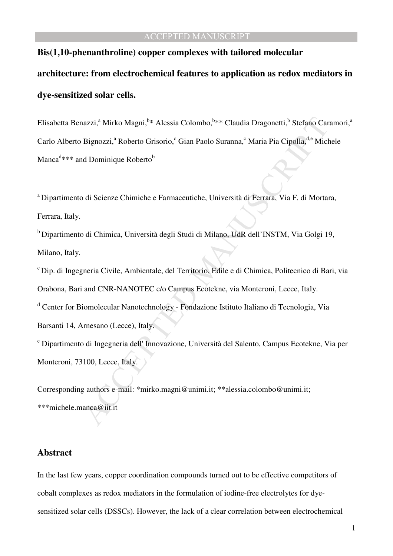# **Bis(1,10-phenanthroline) copper complexes with tailored molecular architecture: from electrochemical features to application as redox mediators in dye-sensitized solar cells.**

Elisabetta Benazzi,<sup>a</sup> Mirko Magni, <sup>b</sup>\* Alessia Colombo, <sup>b</sup>\*\* Claudia Dragonetti, <sup>b</sup> Stefano Caramori,<sup>a</sup> Carlo Alberto Bignozzi,<sup>a</sup> Roberto Grisorio,<sup>c</sup> Gian Paolo Suranna,<sup>c</sup> Maria Pia Cipolla,<sup>d,e</sup> Michele Manca<sup>d\*\*\*</sup> and Dominique Roberto<sup>b</sup>

<sup>a</sup> Dipartimento di Scienze Chimiche e Farmaceutiche, Università di Ferrara, Via F. di Mortara, Ferrara, Italy.

<sup>b</sup> Dipartimento di Chimica, Università degli Studi di Milano, UdR dell'INSTM, Via Golgi 19, Milano, Italy.

nazzi,<sup>a</sup> Mirko Magni,<sup>b</sup>\* Alessia Colombo,<sup>b</sup>\*\* Claudia Dragonetti,<sup>b</sup> Stefano Caran<br>Bignozzi,<sup>a</sup> Roberto Grisorio,<sup>c</sup> Gian Paolo Suranna,<sup>e</sup> Maria Pia Cipolla,<sup>d,e</sup> Michel<br>d Dominique Roberto<sup>b</sup><br>od i Scienze Chimiche e F <sup>c</sup>Dip. di Ingegneria Civile, Ambientale, del Territorio, Edile e di Chimica, Politecnico di Bari, via Orabona, Bari and CNR-NANOTEC c/o Campus Ecotekne, via Monteroni, Lecce, Italy. <sup>d</sup> Center for Biomolecular Nanotechnology - Fondazione Istituto Italiano di Tecnologia, Via Barsanti 14, Arnesano (Lecce), Italy.

e Dipartimento di Ingegneria dell' Innovazione, Università del Salento, Campus Ecotekne, Via per Monteroni, 73100, Lecce, Italy.

Corresponding authors e-mail: \*mirko.magni@unimi.it; \*\*alessia.colombo@unimi.it; \*\*\*michele.manca@iit.it

# **Abstract**

In the last few years, copper coordination compounds turned out to be effective competitors of cobalt complexes as redox mediators in the formulation of iodine-free electrolytes for dyesensitized solar cells (DSSCs). However, the lack of a clear correlation between electrochemical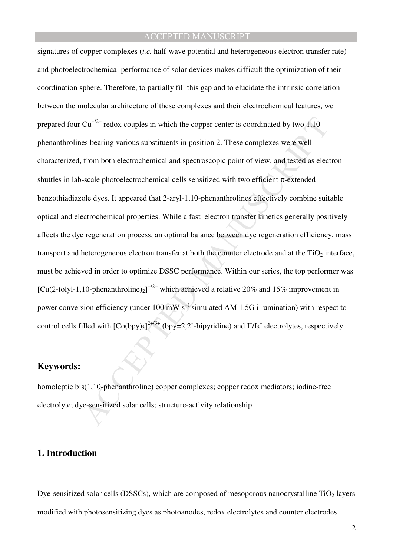Cu<sup>1721</sup> redox couples in which the copper center is coordinated by two 1,10-<br>es bearing various substituents in position 2. These complexes were well<br>from both electrochemical and spectroscopic point of view, and tested signatures of copper complexes (*i.e.* half-wave potential and heterogeneous electron transfer rate) and photoelectrochemical performance of solar devices makes difficult the optimization of their coordination sphere. Therefore, to partially fill this gap and to elucidate the intrinsic correlation between the molecular architecture of these complexes and their electrochemical features, we prepared four Cu<sup>+/2+</sup> redox couples in which the copper center is coordinated by two 1,10phenanthrolines bearing various substituents in position 2. These complexes were well characterized, from both electrochemical and spectroscopic point of view, and tested as electron shuttles in lab-scale photoelectrochemical cells sensitized with two efficient  $\pi$ -extended benzothiadiazole dyes. It appeared that 2-aryl-1,10-phenanthrolines effectively combine suitable optical and electrochemical properties. While a fast electron transfer kinetics generally positively affects the dye regeneration process, an optimal balance between dye regeneration efficiency, mass transport and heterogeneous electron transfer at both the counter electrode and at the  $TiO<sub>2</sub>$  interface, must be achieved in order to optimize DSSC performance. Within our series, the top performer was [Cu(2-tolyl-1,10-phenanthroline)<sub>2</sub>]<sup>+/2+</sup> which achieved a relative 20% and 15% improvement in power conversion efficiency (under  $100 \text{ mW s}^{-1}$  simulated AM 1.5G illumination) with respect to control cells filled with  $[Co(bpy)_3]^{2+/3+}$  (bpy=2,2'-bipyridine) and  $\Gamma/I_3^-$  electrolytes, respectively.

# **Keywords:**

homoleptic bis(1,10-phenanthroline) copper complexes; copper redox mediators; iodine-free electrolyte; dye-sensitized solar cells; structure-activity relationship

# **1. Introduction**

Dye-sensitized solar cells (DSSCs), which are composed of mesoporous nanocrystalline TiO<sub>2</sub> layers modified with photosensitizing dyes as photoanodes, redox electrolytes and counter electrodes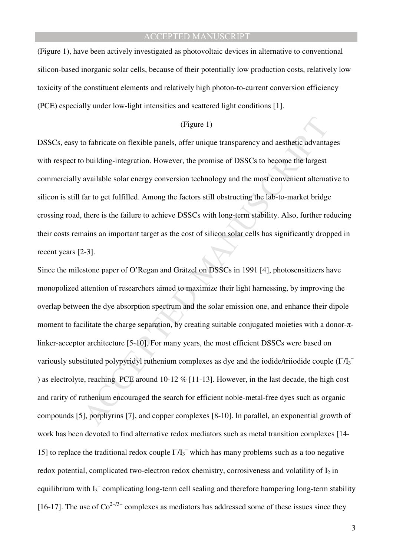(Figure 1), have been actively investigated as photovoltaic devices in alternative to conventional silicon-based inorganic solar cells, because of their potentially low production costs, relatively low toxicity of the constituent elements and relatively high photon-to-current conversion efficiency (PCE) especially under low-light intensities and scattered light conditions [1].

#### (Figure 1)

DSSCs, easy to fabricate on flexible panels, offer unique transparency and aesthetic advantages with respect to building-integration. However, the promise of DSSCs to become the largest commercially available solar energy conversion technology and the most convenient alternative to silicon is still far to get fulfilled. Among the factors still obstructing the lab-to-market bridge crossing road, there is the failure to achieve DSSCs with long-term stability. Also, further reducing their costs remains an important target as the cost of silicon solar cells has significantly dropped in recent years [2-3].

(Figure 1)<br>
(Figure 1)<br>
to fabricate on flexible panels, offer unique transparency and aesthetic advantage<br>
building-integration. However, the promise of DSSCs to become the largest<br>
available solar energy conversion tech Since the milestone paper of O'Regan and Grätzel on DSSCs in 1991 [4], photosensitizers have monopolized attention of researchers aimed to maximize their light harnessing, by improving the overlap between the dye absorption spectrum and the solar emission one, and enhance their dipole moment to facilitate the charge separation, by creating suitable conjugated moieties with a donor-πlinker-acceptor architecture [5-10]. For many years, the most efficient DSSCs were based on variously substituted polypyridyl ruthenium complexes as dye and the iodide/triiodide couple  $(T/I_3^-)$ ) as electrolyte, reaching PCE around 10-12 % [11-13]. However, in the last decade, the high cost and rarity of ruthenium encouraged the search for efficient noble-metal-free dyes such as organic compounds [5], porphyrins [7], and copper complexes [8-10]. In parallel, an exponential growth of work has been devoted to find alternative redox mediators such as metal transition complexes [14- 15] to replace the traditional redox couple  $\Gamma/I_3^-$  which has many problems such as a too negative redox potential, complicated two-electron redox chemistry, corrosiveness and volatility of  $I_2$  in equilibrium with  $I_3^-$  complicating long-term cell sealing and therefore hampering long-term stability [16-17]. The use of  $\text{Co}^{2+/3+}$  complexes as mediators has addressed some of these issues since they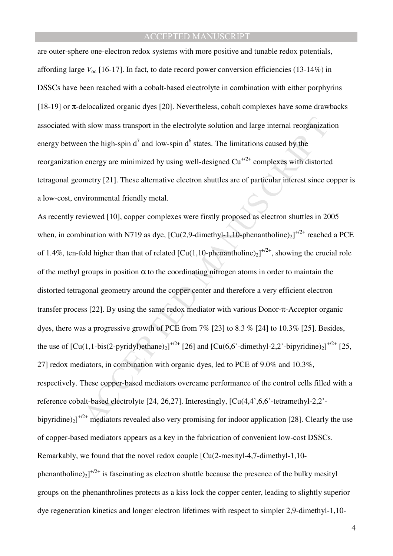are outer-sphere one-electron redox systems with more positive and tunable redox potentials, affording large  $V_{\infty}$  [16-17]. In fact, to date record power conversion efficiencies (13-14%) in DSSCs have been reached with a cobalt-based electrolyte in combination with either porphyrins [18-19] or π-delocalized organic dyes [20]. Nevertheless, cobalt complexes have some drawbacks associated with slow mass transport in the electrolyte solution and large internal reorganization energy between the high-spin  $d^7$  and low-spin  $d^6$  states. The limitations caused by the reorganization energy are minimized by using well-designed  $Cu^{+/2+}$  complexes with distorted tetragonal geometry [21]. These alternative electron shuttles are of particular interest since copper is a low-cost, environmental friendly metal.

h slow mass transport in the electrolyte solution and large internal reorganization<br>en the high-spin d<sup>7</sup> and low-spin d<sup>6</sup> states. The limitations caused by the<br>energy are minimized by using well-designed Cu<sup>+/2+</sup> compl As recently reviewed [10], copper complexes were firstly proposed as electron shuttles in 2005 when, in combination with N719 as dye,  $[Cu(2,9\text{-dimethyl-1},10\text{-phenantholine})_2]^{1/2+}$  reached a PCE of 1.4%, ten-fold higher than that of related  $\left[\text{Cu}(1,10\text{-phenantholine})_2\right]^{+/2+}$ , showing the crucial role of the methyl groups in position  $\alpha$  to the coordinating nitrogen atoms in order to maintain the distorted tetragonal geometry around the copper center and therefore a very efficient electron transfer process [22]. By using the same redox mediator with various Donor-π-Acceptor organic dyes, there was a progressive growth of PCE from 7% [23] to 8.3 % [24] to 10.3% [25]. Besides, the use of  $[Cu(1,1-bis(2-pyridyl)ethane)_2]^{1/2+}[26]$  and  $[Cu(6,6'-dimethyl-2,2'-bipyridine)_2]^{1/2+}[25,$ 27] redox mediators, in combination with organic dyes, led to PCE of 9.0% and 10.3%, respectively. These copper-based mediators overcame performance of the control cells filled with a reference cobalt-based electrolyte [24, 26,27]. Interestingly, [Cu(4,4',6,6'-tetramethyl-2,2' bipyridine)<sub>2</sub>]<sup> $+/2+$ </sup> mediators revealed also very promising for indoor application [28]. Clearly the use of copper-based mediators appears as a key in the fabrication of convenient low-cost DSSCs. Remarkably, we found that the novel redox couple [Cu(2-mesityl-4,7-dimethyl-1,10 phenantholine)<sub>2</sub>]<sup> $+/2+$ </sup> is fascinating as electron shuttle because the presence of the bulky mesityl groups on the phenanthrolines protects as a kiss lock the copper center, leading to slightly superior dye regeneration kinetics and longer electron lifetimes with respect to simpler 2,9-dimethyl-1,10-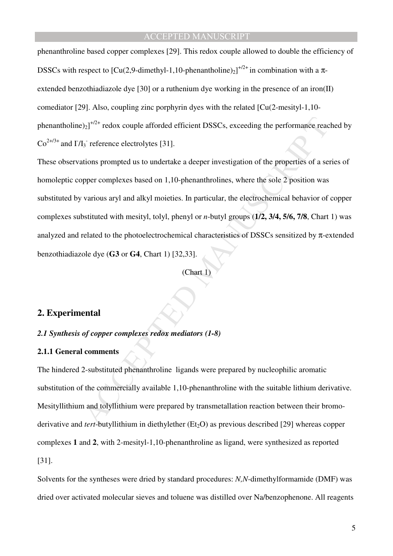phenanthroline based copper complexes [29]. This redox couple allowed to double the efficiency of DSSCs with respect to [Cu(2,9-dimethyl-1,10-phenantholine)<sub>2</sub>]<sup>+/2+</sup> in combination with a  $\pi$ extended benzothiadiazole dye [30] or a ruthenium dye working in the presence of an iron(II) comediator [29]. Also, coupling zinc porphyrin dyes with the related [Cu(2-mesityl-1,10 phenantholine)<sub>2</sub>]<sup> $+/2+$ </sup> redox couple afforded efficient DSSCs, exceeding the performance reached by  $\text{Co}^{2+/3+}$  and  $\text{I/I}_3$  reference electrolytes [31].

 $y_2y_1^{1/2*}$  redox couple afforded efficient DSSCs, exceeding the performance reache<br>
I<sub>S</sub> reference electrolytes [31].<br>
Itions prompted us to undertake a deeper investigation of the properties of a serie<br>
opper complex These observations prompted us to undertake a deeper investigation of the properties of a series of homoleptic copper complexes based on 1,10-phenanthrolines, where the sole 2 position was substituted by various aryl and alkyl moieties. In particular, the electrochemical behavior of copper complexes substituted with mesityl, tolyl, phenyl or *n*-butyl groups (**1/2, 3/4, 5/6, 7/8**, Chart 1) was analyzed and related to the photoelectrochemical characteristics of DSSCs sensitized by π-extended benzothiadiazole dye (**G3** or **G4**, Chart 1) [32,33].

(Chart 1)

## **2. Experimental**

# *2.1 Synthesis of copper complexes redox mediators (1-8)*

#### **2.1.1 General comments**

The hindered 2-substituted phenanthroline ligands were prepared by nucleophilic aromatic substitution of the commercially available 1,10-phenanthroline with the suitable lithium derivative. Mesityllithium and tolyllithium were prepared by transmetallation reaction between their bromoderivative and *tert*-butyllithium in diethylether (Et<sub>2</sub>O) as previous described [29] whereas copper complexes **1** and **2**, with 2-mesityl-1,10-phenanthroline as ligand, were synthesized as reported [31].

Solvents for the syntheses were dried by standard procedures: *N,N-*dimethylformamide (DMF) was dried over activated molecular sieves and toluene was distilled over Na/benzophenone. All reagents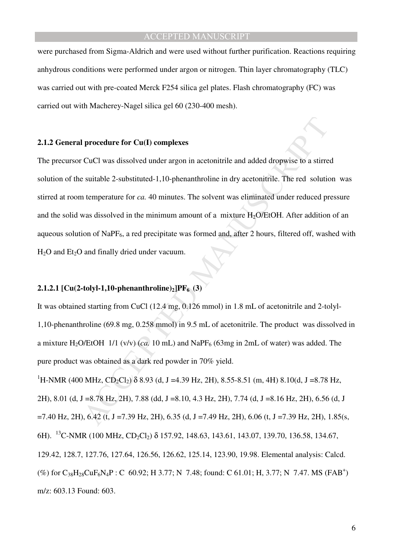were purchased from Sigma-Aldrich and were used without further purification. Reactions requiring anhydrous conditions were performed under argon or nitrogen. Thin layer chromatography (TLC) was carried out with pre-coated Merck F254 silica gel plates. Flash chromatography (FC) was carried out with Macherey-Nagel silica gel 60 (230-400 mesh).

#### **2.1.2 General procedure for Cu(I) complexes**

**procedure for Cu(I) complexes**<br>CuCl was dissolved under argon in acetonitrile and added dropwise to a stirred<br>suitable 2-substituted-1,10-phenanthroline in dry acetonitrile. The red solution<br>temperature for *ca.* 40 minu The precursor CuCl was dissolved under argon in acetonitrile and added dropwise to a stirred solution of the suitable 2-substituted-1,10-phenanthroline in dry acetonitrile. The red solution was stirred at room temperature for *ca.* 40 minutes. The solvent was eliminated under reduced pressure and the solid was dissolved in the minimum amount of a mixture  $H_2O/E$ tOH. After addition of an aqueous solution of NaPF <sup>6</sup>, a red precipitate was formed and, after 2 hours, filtered off, washed with H <sup>2</sup>O and Et <sup>2</sup>O and finally dried under vacuum.

#### **2.1.2.1 [Cu(2-tolyl-1,10-phenanthroline) <sup>2</sup>]PF6 (3)**

It was obtained starting from CuCl (12.4 mg, 0.126 mmol) in 1.8 mL of acetonitrile and 2-tolyl-1,10-phenanthroline (69.8 mg, 0.258 mmol) in 9.5 mL of acetonitrile. The product was dissolved in a mixture H <sup>2</sup>O/EtOH 1/1 (v/v) (*ca.* 10 mL) and NaPF <sup>6</sup> (63mg in 2mL of water) was added. The pure product was obtained as a dark red powder in 70% yield.

 $1_H$ -NMR (400 MHz, CD<sub>2</sub>Cl<sub>2</sub>)  $\delta$  8.93 (d, J =4.39 Hz, 2H), 8.55-8.51 (m, 4H) 8.10(d, J =8.78 Hz, 2H), 8.01 (d, J =8.78 Hz, 2H), 7.88 (dd, J =8.10, 4.3 Hz, 2H), 7.74 (d, J =8.16 Hz, 2H), 6.56 (d, J  $=7.40$  Hz, 2H), 6.42 (t, J = 7.39 Hz, 2H), 6.35 (d, J = 7.49 Hz, 2H), 6.06 (t, J = 7.39 Hz, 2H), 1.85(s, 6H). <sup>13</sup>C-NMR (100 MHz, CD<sub>2</sub>Cl<sub>2</sub>) δ 157.92, 148.63, 143.61, 143.07, 139.70, 136.58, 134.67, 129.42, 128.7, 127.76, 127.64, 126.56, 126.62, 125.14, 123.90, 19.98. Elemental analysis: Calcd.  $(\%)$  for C<sub>38</sub>H<sub>28</sub>CuF<sub>6</sub>N<sub>4</sub>P : C 60.92; H 3.77; N 7.48; found: C 61.01; H, 3.77; N 7.47. MS (FAB<sup>+</sup>) m/z: 603.13 Found: 603.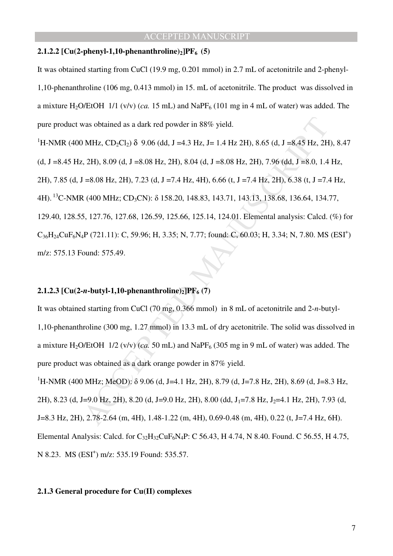#### **2.1.2.2 [Cu(2-phenyl-1,10-phenanthroline) <sup>2</sup>]PF6 (5)**

It was obtained starting from CuCl (19.9 mg, 0.201 mmol) in 2.7 mL of acetonitrile and 2-phenyl-1,10-phenanthroline (106 mg, 0.413 mmol) in 15. mL of acetonitrile. The product was dissolved in a mixture  $H_2O/EtOH$  1/1 (v/v) (*ca.* 15 mL) and NaP $F_6$  (101 mg in 4 mL of water) was added. The pure product was obtained as a dark red powder in 88% yield.

 $1_H\text{-NMR}$  (400 MHz, CD<sub>2</sub>Cl<sub>2</sub>)  $\delta$  9.06 (dd, J = 4.3 Hz, J = 1.4 Hz 2H), 8.65 (d, J = 8.45 Hz, 2H), 8.47  $(d, J = 8.45 \text{ Hz}, 2H), 8.09 \ (d, J = 8.08 \text{ Hz}, 2H), 8.04 \ (d, J = 8.08 \text{ Hz}, 2H), 7.96 \ (dd, J = 8.0, 1.4 \text{ Hz},$ 2H), 7.85 (d, J =8.08 Hz, 2H), 7.23 (d, J =7.4 Hz, 4H), 6.66 (t, J =7.4 Hz, 2H), 6.38 (t, J =7.4 Hz, 4H). <sup>13</sup>C-NMR (400 MHz; CD<sub>3</sub>CN): δ 158.20, 148.83, 143.71, 143.13, 138.68, 136.64, 134.77, 129.40, 128.55, 127.76, 127.68, 126.59, 125.66, 125.14, 124.01. Elemental analysis: Calcd. (%) for<br>C<sub>36</sub>H<sub>24</sub>CuF<sub>6</sub>N<sub>4</sub>P (721.11): C, 59.96; H, 3.35; N, 7.77; found: C, 60.03; H, 3.34; N, 7.80. MS (ESI<sup>+</sup>) m/z: 575.13 Found: 575.49.

#### **2.1.2.3 [Cu(2-** *n***-butyl-1,10-phenanthroline) <sup>2</sup>]PF <sup>6</sup> (7)**

was obtained as a dark red powder in 88% yield.<br>
MHz, CD<sub>2</sub>Cl<sub>2</sub>) δ 9.06 (dd, J =4.3 Hz, J= 1.4 Hz 2H), 8.65 (d, J =8.45 Hz, 2H), 8.7 (2H), 8.09 (d, J =8.08 Hz, 2H), 8.04 (d, J =8.08 Hz, 2H), 7.96 (dd, J =8.0, 1.4 H =8.08 It was obtained starting from CuCl (70 mg, 0.366 mmol) in 8 mL of acetonitrile and 2- *n*-butyl-1,10-phenanthroline (300 mg, 1.27 mmol) in 13.3 mL of dry acetonitrile. The solid was dissolved in a mixture H <sup>2</sup>O/EtOH 1/2 (v/v) (*ca.* 50 mL) and NaPF <sup>6</sup> (305 mg in 9 mL of water) was added. The pure product was obtained as a dark orange powder in 87% yield. <sup>1</sup>H-NMR (400 MHz; MeOD):  $\delta$  9.06 (d, J=4.1 Hz, 2H), 8.79 (d, J=7.8 Hz, 2H), 8.69 (d, J=8.3 Hz, 2H), 8.23 (d, J=9.0 Hz, 2H), 8.20 (d, J=9.0 Hz, 2H), 8.00 (dd, J <sup>1</sup>=7.8 Hz, J <sup>2</sup>=4.1 Hz, 2H), 7.93 (d, J=8.3 Hz, 2H), 2.78-2.64 (m, 4H), 1.48-1.22 (m, 4H), 0.69-0.48 (m, 4H), 0.22 (t, J=7.4 Hz, 6H). Elemental Analysis: Calcd. for  $C_{32}H_{32}CuF_6N_4P$ : C 56.43, H 4.74, N 8.40. Found. C 56.55, H 4.75,

N 8.23. MS (ESI<sup>+</sup>) m/z: 535.19 Found: 535.57.

#### **2.1.3 General procedure for Cu(II) complexes**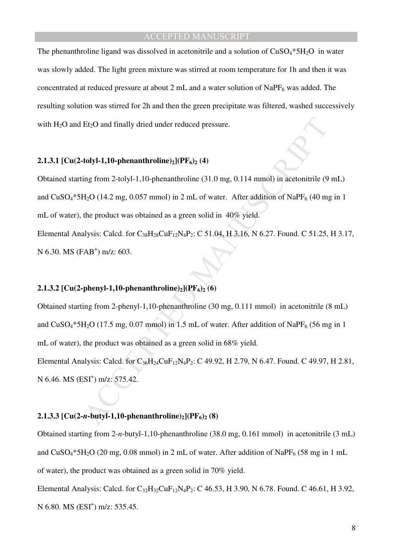The phenanthroline ligand was dissolved in acetonitrile and a solution of  $CuSO<sub>4</sub>$ <sup>\*</sup> $5H<sub>2</sub>O$  in water was slowly added. The light green mixture was stirred at room temperature for 1h and then it was concentrated at reduced pressure at about 2 mL and a water solution of NaPF <sup>6</sup> was added. The resulting solution was stirred for 2h and then the green precipitate was filtered, washed successively with H<sub>2</sub>O and Et<sub>2</sub>O and finally dried under reduced pressure.

#### **2.1.3.1 [Cu(2-tolyl-1,10-phenanthroline) <sup>2</sup>](PF 6 ) <sup>2</sup> (4)**

Obtained starting from 2-tolyl-1,10-phenanthroline (31.0 mg, 0.114 mmol) in acetonitrile (9 mL) and  $CuSO<sub>4</sub>*5H<sub>2</sub>O$  (14.2 mg, 0.057 mmol) in 2 mL of water. After addition of NaPF<sub>6</sub> (40 mg in 1 mL of water), the product was obtained as a green solid in 40% yield. Elemental Analysis: Calcd. for  $C_{38}H_{28}CuF_{12}N_4P_2$ : C 51.04, H 3.16, N 6.27. Found. C 51.25, H 3.17, N 6.30. MS (FAB<sup>+</sup>) m/z: 603.

#### **2.1.3.2 [Cu(2-phenyl-1,10-phenanthroline) <sup>2</sup>](PF 6 ) <sup>2</sup> (6)**

Et<sub>2</sub>O and finally dried under reduced pressure.<br> **Etc)/1-1,10-phenanthroline**)<sub>2</sub>](PF<sub>6</sub>)<sub>2</sub> (4)<br>
ing from 2-tolyl-1,10-phenanthroline (31.0 mg, 0.114 mmol) in acctonitile (9 m<br>
H<sub>2</sub>O (14.2 mg, 0.057 mmol) in 2 mL of wat Obtained starting from 2-phenyl-1,10-phenanthroline (30 mg, 0.111 mmol) in acetonitrile (8 mL) and  $CuSO<sub>4</sub>$ \*5H<sub>2</sub>O (17.5 mg, 0.07 mmol) in 1.5 mL of water. After addition of NaPF<sub>6</sub> (56 mg in 1 mL of water), the product was obtained as a green solid in 68% yield. Elemental Analysis: Calcd. for  $C_{36}H_{24}CuF_{12}N_4P_2$ : C 49.92, H 2.79, N 6.47. Found. C 49.97, H 2.81, N 6.46. MS (ESI<sup>+</sup>) m/z: 575.42.

#### **2.1.3.3 [Cu(2-** *n***-butyl-1,10-phenanthroline) <sup>2</sup>](PF 6 ) <sup>2</sup> (8)**

Obtained starting from 2- *n*-butyl-1,10-phenanthroline (38.0 mg, 0.161 mmol) in acetonitrile (3 mL) and  $CuSO_4*5H_2O$  (20 mg, 0.08 mmol) in 2 mL of water. After addition of NaPF<sub>6</sub> (58 mg in 1 mL of water), the product was obtained as a green solid in 70% yield.

Elemental Analysis: Calcd. for  $C_{32}H_{32}CuF_{12}N_4P_2$ : C 46.53, H 3.90, N 6.78. Found. C 46.61, H 3.92, N 6.80. MS (ESI<sup>+</sup>) m/z: 535.45.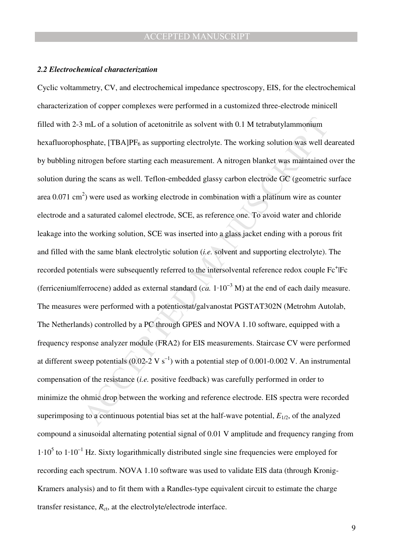#### *2.2 Electrochemical characterization*

is mL of a solution of acctonitrile as solvent with 0.1 M tetrabutylammonium<br>syphate, [TBA]PF<sub>6</sub> as supporting electrolyte. The working solution was well dear<br>tirogen before starting each measurement. A nitrogen blanket w Cyclic voltammetry, CV, and electrochemical impedance spectroscopy, EIS, for the electrochemical characterization of copper complexes were performed in a customized three-electrode minicell filled with 2-3 mL of a solution of acetonitrile as solvent with 0.1 M tetrabutylammonium hexafluorophosphate, [TBA]PF <sup>6</sup> as supporting electrolyte. The working solution was well deareated by bubbling nitrogen before starting each measurement. A nitrogen blanket was maintained over the solution during the scans as well. Teflon-embedded glassy carbon electrode GC (geometric surface area  $0.071 \text{ cm}^2$ ) were used as working electrode in combination with a platinum wire as counter electrode and a saturated calomel electrode, SCE, as reference one. To avoid water and chloride leakage into the working solution, SCE was inserted into a glass jacket ending with a porous frit and filled with the same blank electrolytic solution (*i.e.* solvent and supporting electrolyte). The recorded potentials were subsequently referred to the intersolvental reference redox couple Fc<sup>+</sup>|Fc (ferricenium|ferrocene) added as external standard  $(ca. 1 \cdot 10^{-3}$  M) at the end of each daily measure. The measures were performed with a potentiostat/galvanostat PGSTAT302N (Metrohm Autolab, The Netherlands) controlled by a PC through GPES and NOVA 1.10 software, equipped with a frequency response analyzer module (FRA2) for EIS measurements. Staircase CV were performed at different sweep potentials  $(0.02-2 \text{ V s}^{-1})$  with a potential step of 0.001-0.002 V. An instrumental compensation of the resistance (*i.e.* positive feedback) was carefully performed in order to minimize the ohmic drop between the working and reference electrode. EIS spectra were recorded superimposing to a continuous potential bias set at the half-wave potential,  $E_{1/2}$ , of the analyzed compound a sinusoidal alternating potential signal of 0.01 V amplitude and frequency ranging from<br> $1 \cdot 10^5$  to  $1 \cdot 10^{-1}$  Hz. Sixty logarithmically distributed single sine frequencies were employed for recording each spectrum. NOVA 1.10 software was used to validate EIS data (through Kronig-Kramers analysis) and to fit them with a Randles-type equivalent circuit to estimate the charge transfer resistance,  $R_{\text{ct}}$ , at the electrolyte/electrode interface.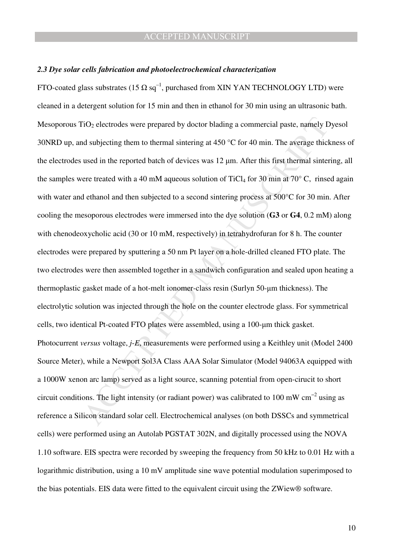#### *2.3 Dye solar cells fabrication and photoelectrochemical characterization*

TO<sub>2</sub> electrodes were prepared by doctor blading a commercial paste, namely Dye<br>of subjecting them to thermal sintering at 450 °C for 40 min. The average thickne<br>used in the reported batch of devices was 12 µm. After this FTO-coated glass substrates (15  $\Omega$  sq<sup>-1</sup>, purchased from XIN YAN TECHNOLOGY LTD) were cleaned in a detergent solution for 15 min and then in ethanol for 30 min using an ultrasonic bath. Mesoporous TiO <sup>2</sup> electrodes were prepared by doctor blading a commercial paste, namely Dyesol 30NRD up, and subjecting them to thermal sintering at 450 °C for 40 min. The average thickness of the electrodes used in the reported batch of devices was 12 m. After this first thermal sintering, all the samples were treated with a 40 mM aqueous solution of TiCl<sub>4</sub> for 30 min at 70 $^{\circ}$  C, rinsed again with water and ethanol and then subjected to a second sintering process at 500°C for 30 min. After cooling the mesoporous electrodes were immersed into the dye solution (**G3** or **G4**, 0.2 mM) along with chenodeoxycholic acid (30 or 10 mM, respectively) in tetrahydrofuran for 8 h. The counter electrodes were prepared by sputtering a 50 nm Pt layer on a hole-drilled cleaned FTO plate. The two electrodes were then assembled together in a sandwich configuration and sealed upon heating a thermoplastic gasket made of a hot-melt ionomer-class resin (Surlyn 50- m thickness). The electrolytic solution was injected through the hole on the counter electrode glass. For symmetrical cells, two identical Pt-coated FTO plates were assembled, using a 100- m thick gasket. Photocurrent *versus* voltage, *j-E*, measurements were performed using a Keithley unit (Model 2400 Source Meter), while a Newport Sol3A Class AAA Solar Simulator (Model 94063A equipped with a 1000W xenon arc lamp) served as a light source, scanning potential from open-cirucit to short circuit conditions. The light intensity (or radiant power) was calibrated to 100 mW cm<sup>-2</sup> using as reference a Silicon standard solar cell. Electrochemical analyses (on both DSSCs and symmetrical cells) were performed using an Autolab PGSTAT 302N, and digitally processed using the NOVA 1.10 software. EIS spectra were recorded by sweeping the frequency from 50 kHz to 0.01 Hz with a logarithmic distribution, using a 10 mV amplitude sine wave potential modulation superimposed to the bias potentials. EIS data were fitted to the equivalent circuit using the ZWiew® software.

10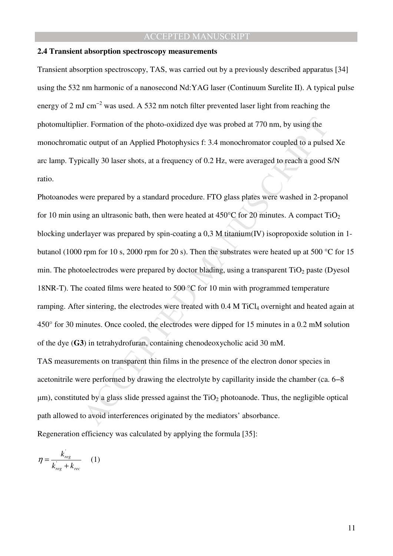#### **2.4 Transient absorption spectroscopy measurements**

Transient absorption spectroscopy, TAS, was carried out by a previously described apparatus [34] using the 532 nm harmonic of a nanosecond Nd:YAG laser (Continuum Surelite II). A typical pulse energy of 2 mJ cm−2 was used. A 532 nm notch filter prevented laser light from reaching the photomultiplier. Formation of the photo-oxidized dye was probed at 770 nm, by using the monochromatic output of an Applied Photophysics f: 3.4 monochromator coupled to a pulsed Xe arc lamp. Typically 30 laser shots, at a frequency of 0.2 Hz, were averaged to reach a good S/N ratio.

er. Formation of the photo-oxidized dye was probed at 770 nm, by using the<br>ic output of an Applied Photophysics f: 3.4 monochromator coupled to a pulsed i<br>cically 30 laser shots, at a frequency of 0.2 Hz, were averaged to Photoanodes were prepared by a standard procedure. FTO glass plates were washed in 2-propanol for 10 min using an ultrasonic bath, then were heated at  $450^{\circ}$ C for 20 minutes. A compact TiO<sub>2</sub> blocking underlayer was prepared by spin-coating a  $0.3$  M titanium(IV) isopropoxide solution in 1butanol (1000 rpm for 10 s, 2000 rpm for 20 s). Then the substrates were heated up at 500 °C for 15 min. The photoelectrodes were prepared by doctor blading, using a transparent TiO <sup>2</sup> paste (Dyesol 18NR-T). The coated films were heated to 500 °C for 10 min with programmed temperature ramping. After sintering, the electrodes were treated with 0.4 M TiCl <sup>4</sup> overnight and heated again at 450° for 30 minutes. Once cooled, the electrodes were dipped for 15 minutes in a 0.2 mM solution of the dye (**G3**) in tetrahydrofuran, containing chenodeoxycholic acid 30 mM.

TAS measurements on transparent thin films in the presence of the electron donor species in acetonitrile were performed by drawing the electrolyte by capillarity inside the chamber (ca. 6−8  $\mu$ m), constituted by a glass slide pressed against the TiO<sub>2</sub> photoanode. Thus, the negligible optical path allowed to avoid interferences originated by the mediators' absorbance. Regeneration efficiency was calculated by applying the formula [35]:

$$
\eta = \frac{k_{reg}^{\prime}}{k_{reg}^{\prime} + k_{rec}} \quad (1)
$$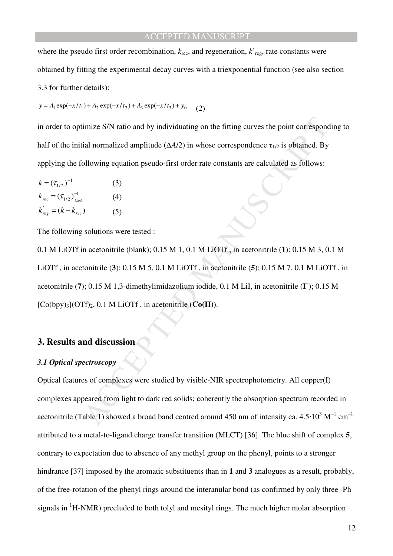where the pseudo first order recombination,  $k_{\text{rec}}$ , and regeneration,  $k'_{\text{reg}}$ , rate constants were obtained by fitting the experimental decay curves with a triexponential function (see also section 3.3 for further details):

$$
y = A_1 \exp(-x/t_1) + A_2 \exp(-x/t_2) + A_3 \exp(-x/t_3) + y_0 \tag{2}
$$

in order to optimize S/N ratio and by individuating on the fitting curves the point corresponding to half of the initial normalized amplitude  $(\Delta A/2)$  in whose correspondence  $\tau_{1/2}$  is obtained. By applying the following equation pseudo-first order rate constants are calculated as follows:

 $k = (\tau_{1/2})^{-1}$ <br>  $k_{rec} = (\tau_{1/2})^{-1}$ <br>  $k_{reg}^{'} = (k - k_{rec})$  $\tau_{rec} = (\tau_{1/2})^{-1}_{\text{blank}}$ 1  $=(\tau_{1/2})^{-}$ *kk* (3) (4) (5)

The following solutions were tested :

timize S/N ratio and by individuating on the fitting curves the point correspondin<br>
itial normalized amplitude (ΔA/2) in whose correspondence τ<sub>1/2</sub> is obtained. By<br>
ollowing equation pseudo-first order rate constants ar 0.1 M LiOTf in acetonitrile (blank); 0.15 M 1, 0.1 M LiOTf , in acetonitrile ( **1**): 0.15 M 3, 0.1 M LiOTf , in acetonitrile ( **3**); 0.15 M 5, 0.1 M LiOTf , in acetonitrile ( **5**); 0.15 M 7, 0.1 M LiOTf , in acetonitrile ( **7**); 0.15 M 1,3-dimethylimidazolium iodide, 0.1 M LiI, in acetonitrile ( **I –** ); 0.15 M [Co(bpy) <sup>3</sup>](OTf) <sup>2</sup>, 0.1 M LiOTf , in acetonitrile (**Co(II)**).

# **3. Results and discussion**

#### *3.1 Optical spectroscopy*

Optical features of complexes were studied by visible-NIR spectrophotometry. All copper(I) complexes appeared from light to dark red solids; coherently the absorption spectrum recorded in acetonitrile (Table 1) showed a broad band centred around 450 nm of intensity ca.  $4.5 \cdot 10^3$  M<sup>-1</sup> cm<sup>-1</sup> attributed to a metal-to-ligand charge transfer transition (MLCT) [36]. The blue shift of complex **5**, contrary to expectation due to absence of any methyl group on the phenyl, points to a stronger hindrance [37] imposed by the aromatic substituents than in **1** and **3** analogues as a result, probably, of the free-rotation of the phenyl rings around the interanular bond (as confirmed by only three -Ph signals in <sup>1</sup>H-NMR) precluded to both tolyl and mesityl rings. The much higher molar absorption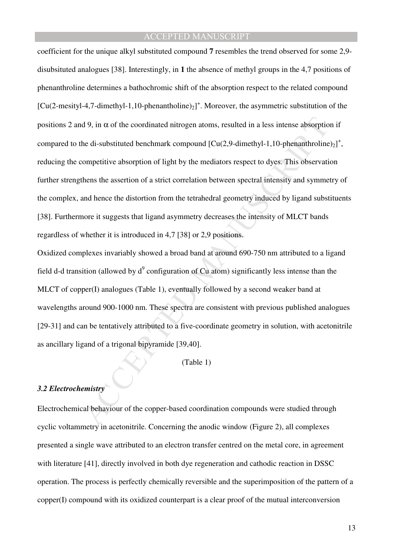d 9, in  $\alpha$  of the coordinated nitrogen atoms, resulted in a less intense absorption in the di-substituted benchmark compound  $[Cu(2.9-dimethyl-1,10-phenanthroline)z]$ <br>competitive absorption of light by the mediators respect to dyes. Thi coefficient for the unique alkyl substituted compound **7** resembles the trend observed for some 2,9 disubsituted analogues [38]. Interestingly, in **1** the absence of methyl groups in the 4,7 positions of phenanthroline determines a bathochromic shift of the absorption respect to the related compound  $[Cu(2-mesityl-4,7-dimethyl-1,10-phenantholine)_2]^+$ . Moreover, the asymmetric substitution of the positions 2 and 9, in  $\alpha$  of the coordinated nitrogen atoms, resulted in a less intense absorption if compared to the di-substituted benchmark compound  $[Cu(2,9\text{-dimethyl-1},10\text{-phenanthroline)}_2]^+$ , reducing the competitive absorption of light by the mediators respect to dyes. This observation further strengthens the assertion of a strict correlation between spectral intensity and symmetry of the complex, and hence the distortion from the tetrahedral geometry induced by ligand substituents [38]. Furthermore it suggests that ligand asymmetry decreases the intensity of MLCT bands regardless of whether it is introduced in 4,7 [38] or 2,9 positions.

Oxidized complexes invariably showed a broad band at around 690-750 nm attributed to a ligand field d-d transition (allowed by  $d^9$  configuration of Cu atom) significantly less intense than the MLCT of copper(I) analogues (Table 1), eventually followed by a second weaker band at wavelengths around 900-1000 nm. These spectra are consistent with previous published analogues [29-31] and can be tentatively attributed to a five-coordinate geometry in solution, with acetonitrile as ancillary ligand of a trigonal bipyramide [39,40].

(Table 1)

# *3.2 Electrochemistry*

Electrochemical behaviour of the copper-based coordination compounds were studied through cyclic voltammetry in acetonitrile. Concerning the anodic window (Figure 2), all complexes presented a single wave attributed to an electron transfer centred on the metal core, in agreement with literature [41], directly involved in both dye regeneration and cathodic reaction in DSSC operation. The process is perfectly chemically reversible and the superimposition of the pattern of a copper(I) compound with its oxidized counterpart is a clear proof of the mutual interconversion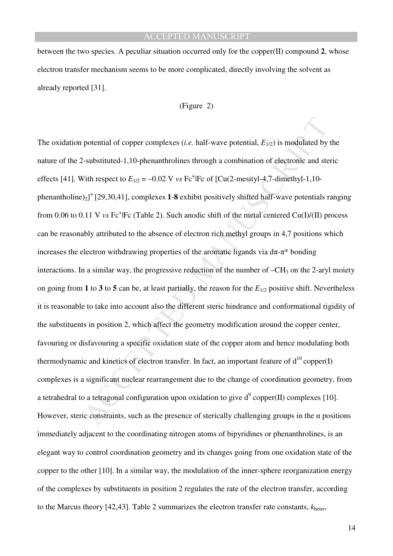between the two species. A peculiar situation occurred only for the copper(II) compound **2**, whose electron transfer mechanism seems to be more complicated, directly involving the solvent as already reported [31].

# (Figure 2)

potential of copper complexes (*i.e.* half-wave potential,  $E_{1/2}$ ) is modulated by the<br>2-substituted-1,10-phenanthrolines through a combination of electronic and steric<br>Vith respect to  $E_{1/2} = -0.02$  V vs Fc<sup>+</sup>IFc of [C The oxidation potential of copper complexes (*i.e.* half-wave potential, *E*1/2) is modulated by the nature of the 2-substituted-1,10-phenanthrolines through a combination of electronic and steric effects [41]. With respect to  $E_{1/2} = -0.02$  V *vs* Fc<sup>+</sup>|Fc of [Cu(2-mesityl-4,7-dimethyl-1,10phenantholine)<sub>2</sub><sup>+</sup> [29,30,41], complexes **1-8** exhibit positively shifted half-wave potentials ranging from 0.06 to 0.11 V *vs* Fc<sup>+</sup>|Fc (Table 2). Such anodic shift of the metal centered Cu(I)/(II) process can be reasonably attributed to the absence of electron rich methyl groups in 4,7 positions which increases the electron withdrawing properties of the aromatic ligands via  $d\pi$ - $\pi^*$  bonding interactions. In a similar way, the progressive reduction of the number of –CH <sup>3</sup> on the 2-aryl moiety on going from 1 to 3 to 5 can be, at least partially, the reason for the  $E_{1/2}$  positive shift. Nevertheless it is reasonable to take into account also the different steric hindrance and conformational rigidity of the substituents in position 2, which affect the geometry modification around the copper center, favouring or disfavouring a specific oxidation state of the copper atom and hence modulating both thermodynamic and kinetics of electron transfer. In fact, an important feature of  $d^{10}$ copper(I) complexes is a significant nuclear rearrangement due to the change of coordination geometry, from a tetrahedral to a tetragonal configuration upon oxidation to give  $d^9$  copper(II) complexes [10]. However, steric constraints, such as the presence of sterically challenging groups in the α positions immediately adjacent to the coordinating nitrogen atoms of bipyridines or phenanthrolines, is an elegant way to control coordination geometry and its changes going from one oxidation state of the copper to the other [10]. In a similar way, the modulation of the inner-sphere reorganization energy of the complexes by substituents in position 2 regulates the rate of the electron transfer, according to the Marcus theory [42,43]. Table 2 summarizes the electron transfer rate constants, *k*heter,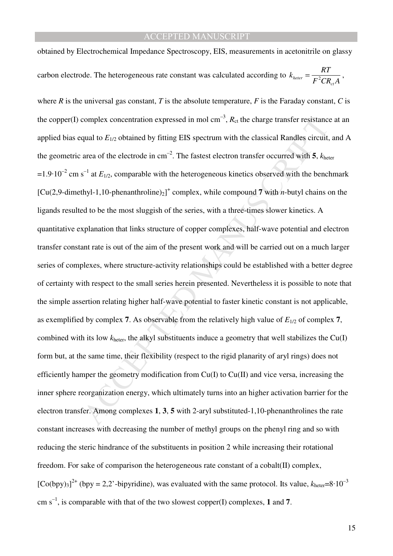obtained by Electrochemical Impedance Spectroscopy, EIS, measurements in acetonitrile on glassy carbon electrode. The heterogeneous rate constant was calculated according to  $F^2CR_{ct}A$  $k_{heter} = \frac{RT}{\sum_{i=1}^{n} R T_i}$ *ct*  $_{heter} = \frac{1}{E^2CD}$ ,

complex concentration expressed in mol cm<sup>-3</sup>,  $R_{\text{ct}}$  the charge transfer resistance a<br>qual to  $E_{1/2}$  obtained by fitting EIS spectrum with the classical Randles circuit, at<br>area of the electrode in cm<sup>-2</sup>. The faste where  $R$  is the universal gas constant,  $T$  is the absolute temperature,  $F$  is the Faraday constant,  $C$  is the copper(I) complex concentration expressed in mol  $cm^{-3}$ ,  $R_{ct}$  the charge transfer resistance at an applied bias equal to *E*1/2 obtained by fitting EIS spectrum with the classical Randles circuit, and A the geometric area of the electrode in  $cm^{-2}$ . The fastest electron transfer occurred with 5,  $k_{heter}$  $=1.9 \cdot 10^{-2}$  cm s<sup>-1</sup> at  $E_{1/2}$ , comparable with the heterogeneous kinetics observed with the benchmark  $[Cu(2,9\text{-dimethyl-1},10\text{-phenant} \text{hroline)}_2]^+$  complex, while compound 7 with *n*-butyl chains on the ligands resulted to be the most sluggish of the series, with a three-times slower kinetics. A quantitative explanation that links structure of copper complexes, half-wave potential and electron transfer constant rate is out of the aim of the present work and will be carried out on a much larger series of complexes, where structure-activity relationships could be established with a better degree of certainty with respect to the small series herein presented. Nevertheless it is possible to note that the simple assertion relating higher half-wave potential to faster kinetic constant is not applicable, as exemplified by complex 7. As observable from the relatively high value of  $E_{1/2}$  of complex 7, combined with its low *k*heter, the alkyl substituents induce a geometry that well stabilizes the Cu(I) form but, at the same time, their flexibility (respect to the rigid planarity of aryl rings) does not efficiently hamper the geometry modification from  $Cu(I)$  to  $Cu(II)$  and vice versa, increasing the inner sphere reorganization energy, which ultimately turns into an higher activation barrier for the electron transfer. Among complexes **1**, **3**, **5** with 2-aryl substituted-1,10-phenanthrolines the rate constant increases with decreasing the number of methyl groups on the phenyl ring and so with reducing the steric hindrance of the substituents in position 2 while increasing their rotational freedom. For sake of comparison the heterogeneous rate constant of a cobalt(II) complex,  $[Co(bpy)_3]^2$ <sup>+</sup> (bpy = 2,2'-bipyridine), was evaluated with the same protocol. Its value,  $k_{heter}=8.10^{-3}$  $\text{cm s}^{-1}$ , is comparable with that of the two slowest copper(I) complexes, 1 and 7.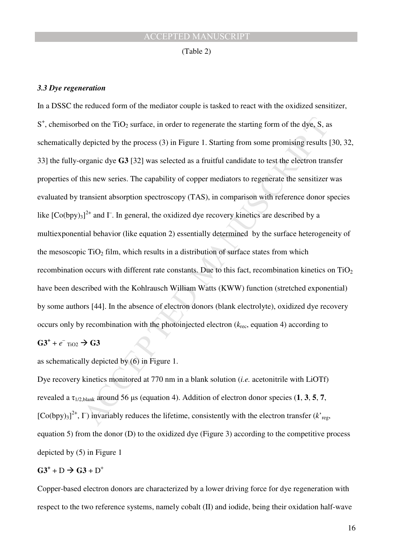(Table 2)

#### *3.3 Dye regeneration*

ed on the TiO<sub>2</sub> surface, in order to regenerate the starting form of the dye, S, as<br>depicted by the process (3) in Figure 1. Starting from some promising results [30<br>rganic dye G3 [32] was selected as a fruitful candidat In a DSSC the reduced form of the mediator couple is tasked to react with the oxidized sensitizer,<br>S<sup>+</sup>, chemisorbed on the TiO<sub>2</sub> surface, in order to regenerate the starting form of the dye, S, as schematically depicted by the process (3) in Figure 1. Starting from some promising results [30, 32, 33] the fully-organic dye **G3** [32] was selected as a fruitful candidate to test the electron transfer properties of this new series. The capability of copper mediators to regenerate the sensitizer was evaluated by transient absorption spectroscopy (TAS), in comparison with reference donor species like  $[Co(bpy)_3]^2$ <sup>+</sup> and  $\Gamma$ . In general, the oxidized dye recovery kinetics are described by a multiexponential behavior (like equation 2) essentially determined by the surface heterogeneity of the mesoscopic TiO <sup>2</sup> film, which results in a distribution of surface states from which recombination occurs with different rate constants. Due to this fact, recombination kinetics on  $TiO<sub>2</sub>$ have been described with the Kohlrausch William Watts (KWW) function (stretched exponential) by some authors [44]. In the absence of electron donors (blank electrolyte), oxidized dye recovery occurs only by recombination with the photoinjected electron ( *k*rec, equation 4) according to

# $G3^+ + e^-$  <sub>TiO2</sub>  $\rightarrow$  G3

as schematically depicted by (6) in Figure 1.

Dye recovery kinetics monitored at 770 nm in a blank solution (*i.e.* acetonitrile with LiOTf) revealed a  $\tau_{1/2, \text{blank}}$  around 56  $\mu$ s (equation 4). Addition of electron donor species (1, 3, 5, 7, [Co(bpy)<sub>3</sub>]<sup>2+</sup>,  $\Gamma$ ) invariably reduces the lifetime, consistently with the electron transfer ( $k_{\text{reg}}$ , equation 5) from the donor (D) to the oxidized dye (Figure 3) according to the competitive process depicted by (5) in Figure 1

# $G3^+ + D \to G3 + D^+$

Copper-based electron donors are characterized by a lower driving force for dye regeneration with respect to the two reference systems, namely cobalt (II) and iodide, being their oxidation half-wave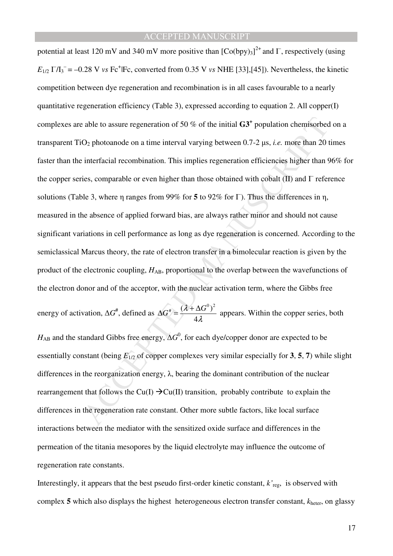e able to assure regeneration of 50 % of the initial G3<sup>+</sup> population chemisorbed o<br>
O<sub>2</sub> photoanode on a time interval varying between 0.7-2 µs, *i.e.* more than 20 tim<br>
interfacial recombination. This implies regenerati potential at least 120 mV and 340 mV more positive than  $[Co(bpy)_3]^{2+}$  and  $\Gamma$ , respectively (using  $E_{1/2}$   $\Gamma/I_3$ <sup>-</sup> = -0.28 V *vs* Fc<sup>+</sup>|Fc, converted from 0.35 V *vs* NHE [33],[45]). Nevertheless, the kinetic competition between dye regeneration and recombination is in all cases favourable to a nearly quantitative regeneration efficiency (Table 3), expressed according to equation 2. All copper(I) complexes are able to assure regeneration of 50 % of the initial  $G3^+$  population chemisorbed on a transparent TiO<sub>2</sub> photoanode on a time interval varying between 0.7-2  $\mu$ s, *i.e.* more than 20 times faster than the interfacial recombination. This implies regeneration efficiencies higher than 96% for the copper series, comparable or even higher than those obtained with cobalt  $(II)$  and  $\Gamma$  reference solutions (Table 3, where η ranges from 99% for **5** to 92% for Γ). Thus the differences in η, measured in the absence of applied forward bias, are always rather minor and should not cause significant variations in cell performance as long as dye regeneration is concerned. According to the semiclassical Marcus theory, the rate of electron transfer in a bimolecular reaction is given by the product of the electronic coupling,  $H_{AB}$ , proportional to the overlap between the wavefunctions of the electron donor and of the acceptor, with the nuclear activation term, where the Gibbs free energy of activation,  $\Delta G^{\#}$ , defined as  $\Delta G^{\#} = \frac{(\lambda + \Delta G)^{2}}{4\lambda}$ λ 4  $\Delta G^* = \frac{(\lambda + \Delta G^0)^2}{\lambda^2}$  appears. Within the copper series, both  $H_{AB}$  and the standard Gibbs free energy,  $\Delta G^0$ , for each dye/copper donor are expected to be essentially constant (being  $E_{1/2}$  of copper complexes very similar especially for **3**, **5**, **7**) while slight differences in the reorganization energy, λ, bearing the dominant contribution of the nuclear rearrangement that follows the Cu(I)  $\rightarrow$ Cu(II) transition, probably contribute to explain the differences in the regeneration rate constant. Other more subtle factors, like local surface interactions between the mediator with the sensitized oxide surface and differences in the permeation of the titania mesopores by the liquid electrolyte may influence the outcome of regeneration rate constants.

Interestingly, it appears that the best pseudo first-order kinetic constant, *k'*reg, is observed with complex **5** which also displays the highest heterogeneous electron transfer constant, *k*heter, on glassy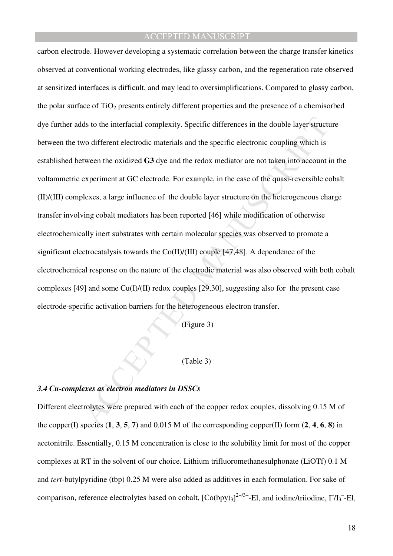ds to the interfacial complexity. Specific differences in the double layer structure<br>wo different electrodic materials and the specific electronic coupling which is<br>tween the oxidized **G3** dye and the redox mediator are n carbon electrode. However developing a systematic correlation between the charge transfer kinetics observed at conventional working electrodes, like glassy carbon, and the regeneration rate observed at sensitized interfaces is difficult, and may lead to oversimplifications. Compared to glassy carbon, the polar surface of TiO <sup>2</sup> presents entirely different properties and the presence of a chemisorbed dye further adds to the interfacial complexity. Specific differences in the double layer structure between the two different electrodic materials and the specific electronic coupling which is established between the oxidized **G3** dye and the redox mediator are not taken into account in the voltammetric experiment at GC electrode. For example, in the case of the quasi-reversible cobalt (II)/(III) complexes, a large influence of the double layer structure on the heterogeneous charge transfer involving cobalt mediators has been reported [46] while modification of otherwise electrochemically inert substrates with certain molecular species was observed to promote a significant electrocatalysis towards the Co(II)/(III) couple [47,48]. A dependence of the electrochemical response on the nature of the electrodic material was also observed with both cobalt complexes [49] and some Cu(I)/(II) redox couples [29,30], suggesting also for the present case electrode-specific activation barriers for the heterogeneous electron transfer.

(Figure 3)

#### (Table 3)

#### *3.4 Cu-complexes as electron mediators in DSSCs*

Different electrolytes were prepared with each of the copper redox couples, dissolving 0.15 M of the copper(I) species  $(1, 3, 5, 7)$  and  $0.015$  M of the corresponding copper(II) form  $(2, 4, 6, 8)$  in acetonitrile. Essentially, 0.15 M concentration is close to the solubility limit for most of the copper complexes at RT in the solvent of our choice. Lithium trifluoromethanesulphonate (LiOTf) 0.1 M and *tert*-butylpyridine (tbp) 0.25 M were also added as additives in each formulation. For sake of comparison, reference electrolytes based on cobalt,  $[Co(bpy)_3]^{2+/3+}$ -El, and iodine/triiodine,  $\Gamma/I_3$ <sup>--El</sup>,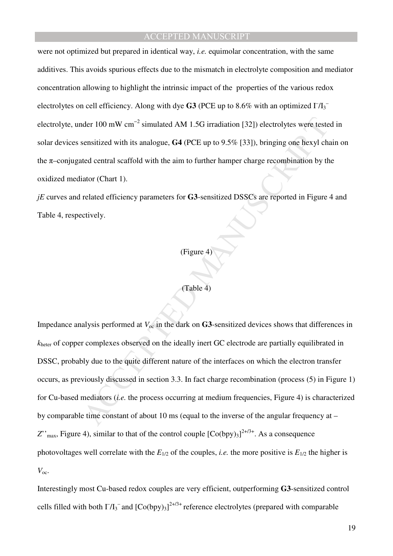were not optimized but prepared in identical way, *i.e.* equimolar concentration, with the same additives. This avoids spurious effects due to the mismatch in electrolyte composition and mediator concentration allowing to highlight the intrinsic impact of the properties of the various redox electrolytes on cell efficiency. Along with dye **G3** (PCE up to 8.6% with an optimized  $\Gamma/I_3$ <sup>-</sup> electrolyte, under 100 mW cm−2 simulated AM 1.5G irradiation [32]) electrolytes were tested in solar devices sensitized with its analogue, **G4** (PCE up to 9.5% [33]), bringing one hexyl chain on the  $\pi$ -conjugated central scaffold with the aim to further hamper charge recombination by the oxidized mediator (Chart 1).

*jE* curves and related efficiency parameters for **G3**-sensitized DSSCs are reported in Figure 4 and Table 4, respectively.

#### (Figure 4)

#### (Table 4)

Manuscript and the interface of the interface of the angle of the sensitized with its analogue, **G4** (PCE up to 9.5% [33]), bringing one bexyl chair ted central scaffold with the aim to further hamper charge recombination Impedance analysis performed at  $V_{\infty}$  in the dark on **G3**-sensitized devices shows that differences in *k*heter of copper complexes observed on the ideally inert GC electrode are partially equilibrated in DSSC, probably due to the quite different nature of the interfaces on which the electron transfer occurs, as previously discussed in section 3.3. In fact charge recombination (process (5) in Figure 1) for Cu-based mediators (*i.e.* the process occurring at medium frequencies, Figure 4) is characterized by comparable time constant of about 10 ms (equal to the inverse of the angular frequency at –  $Z^{\prime}$ <sub>max</sub>, Figure 4), similar to that of the control couple  $[Co(bpy)_3]$ <sup>2+/3+</sup>. As a consequence photovoltages well correlate with the  $E_{1/2}$  of the couples, *i.e.* the more positive is  $E_{1/2}$  the higher is *V*oc.

Interestingly most Cu-based redox couples are very efficient, outperforming **G3**-sensitized control cells filled with both  $\Gamma/I_3^-$  and  $[Co(bpy)_3]^{2+/3+}$  reference electrolytes (prepared with comparable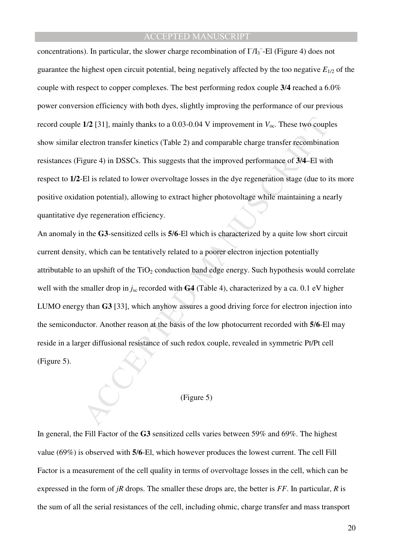concentrations). In particular, the slower charge recombination of  $\Gamma/I_3$ <sup>-</sup>-El (Figure 4) does not guarantee the highest open circuit potential, being negatively affected by the too negative *E*1/2 of the couple with respect to copper complexes. The best performing redox couple **3** / **4** reached a 6.0% power conversion efficiency with both dyes, slightly improving the performance of our previous record couple 1/2 [31], mainly thanks to a 0.03-0.04 V improvement in  $V_{\text{oc}}$ . These two couples show similar electron transfer kinetics (Table 2) and comparable charge transfer recombination resistances (Figure 4) in DSSCs. This suggests that the improved performance of **3** / **4**–El with respect to **1/2**-El is related to lower overvoltage losses in the dye regeneration stage (due to its more positive oxidation potential), allowing to extract higher photovoltage while maintaining a nearly quantitative dye regeneration efficiency.

1/2 [31], mainly thanks to a 0.03-0.04 V improvement in  $V_{\infty}$ . These two couples<br>electron transfer kinetics (Table 2) and comparable charge transfer recombination<br>electron transfer kinetics (Table 2) and comparable cha An anomaly in the **G3**-sensitized cells is **5** / **6**-El which is characterized by a quite low short circuit current density, which can be tentatively related to a poorer electron injection potentially attributable to an upshift of the TiO <sup>2</sup> conduction band edge energy. Such hypothesis would correlate well with the smaller drop in  $j_{\rm sc}$  recorded with **G4** (Table 4), characterized by a ca. 0.1 eV higher LUMO energy than **G3** [33], which anyhow assures a good driving force for electron injection into the semiconductor. Another reason at the basis of the low photocurrent recorded with **5** / **6**-El may reside in a larger diffusional resistance of such redox couple, revealed in symmetric Pt/Pt cell (Figure 5).

#### (Figure 5)

In general, the Fill Factor of the **G3** sensitized cells varies between 59% and 69%. The highest value (69%) is observed with **5** / **6**-El, which however produces the lowest current. The cell Fill Factor is a measurement of the cell quality in terms of overvoltage losses in the cell, which can be expressed in the form of *jR* drops. The smaller these drops are, the better is *FF*. In particular, *R* is the sum of all the serial resistances of the cell, including ohmic, charge transfer and mass transport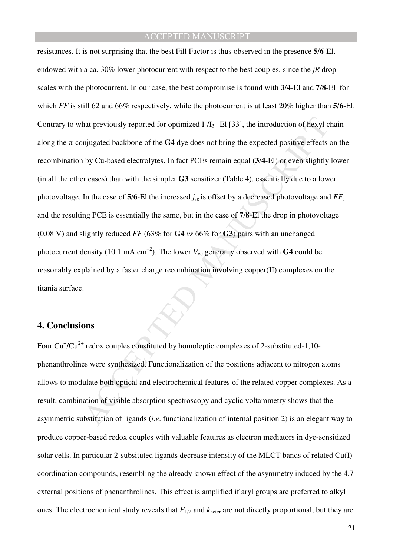hat previously reported for optimized  $\Gamma/I_3$ <sup>-121</sup> [33], the introduction of hexyl changugated backbone of the **G4** dye does not bring the expected positive effects on by Cu-based electrolytes. In fact PCEs remain equal resistances. It is not surprising that the best Fill Factor is thus observed in the presence **5** / **6**-El, endowed with a ca. 30% lower photocurrent with respect to the best couples, since the *jR* drop scales with the photocurrent. In our case, the best compromise is found with **3** / **4**-El and **7** / **8**-El for which *FF* is still 62 and 66% respectively, while the photocurrent is at least 20% higher than **5** / **6**-El. Contrary to what previously reported for optimized  $\Gamma/I_3$ <sup>-</sup>-El [33], the introduction of hexyl chain along the π-conjugated backbone of the **G4** dye does not bring the expected positive effects on the recombination by Cu-based electrolytes. In fact PCEs remain equal ( **3** / **4**-El) or even slightly lower (in all the other cases) than with the simpler **G3** sensitizer (Table 4), essentially due to a lower photovoltage. In the case of  $5/6$ -El the increased  $j_{\rm sc}$  is offset by a decreased photovoltage and  $FF$ , and the resulting PCE is essentially the same, but in the case of **7** / **8**-El the drop in photovoltage (0.08 V) and slightly reduced *FF* (63% for **G4** *vs* 66% for **G3**) pairs with an unchanged photocurrent density (10.1 mA  $cm^{-2}$ ). The lower  $V_{oc}$  generally observed with **G4** could be reasonably explained by a faster charge recombination involving copper(II) complexes on the titania surface.

#### **4. Conclusions**

Four  $Cu^+/Cu^{2+}$  redox couples constituted by homoleptic complexes of 2-substituted-1,10phenanthrolines were synthesized. Functionalization of the positions adjacent to nitrogen atoms allows to modulate both optical and electrochemical features of the related copper complexes. As a result, combination of visible absorption spectroscopy and cyclic voltammetry shows that the asymmetric substitution of ligands (*i.e*. functionalization of internal position 2) is an elegant way to produce copper-based redox couples with valuable features as electron mediators in dye-sensitized solar cells. In particular 2-subsituted ligands decrease intensity of the MLCT bands of related Cu(I) coordination compounds, resembling the already known effect of the asymmetry induced by the 4,7 external positions of phenanthrolines. This effect is amplified if aryl groups are preferred to alkyl ones. The electrochemical study reveals that *E*1/2 and *k*heter are not directly proportional, but they are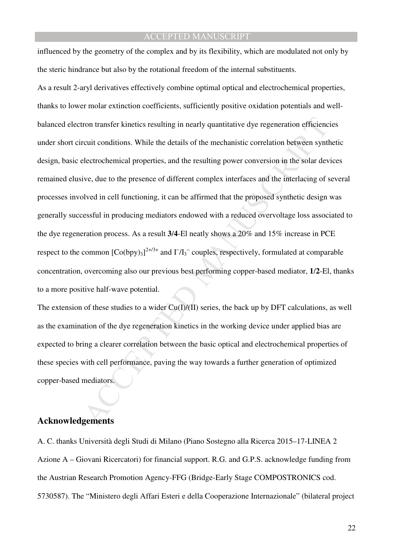influenced by the geometry of the complex and by its flexibility, which are modulated not only by the steric hindrance but also by the rotational freedom of the internal substituents.

iron transfer kineties resulting in nearly quantitative dye regeneration efficiencies<br>reuit conditions. While the details of the mechanistic correlation between synthet<br>electrochemical properties, and the resulting power As a result 2-aryl derivatives effectively combine optimal optical and electrochemical properties, thanks to lower molar extinction coefficients, sufficiently positive oxidation potentials and wellbalanced electron transfer kinetics resulting in nearly quantitative dye regeneration efficiencies under short circuit conditions. While the details of the mechanistic correlation between synthetic design, basic electrochemical properties, and the resulting power conversion in the solar devices remained elusive, due to the presence of different complex interfaces and the interlacing of several processes involved in cell functioning, it can be affirmed that the proposed synthetic design was generally successful in producing mediators endowed with a reduced overvoltage loss associated to the dye regeneration process. As a result **3** / **4**-El neatly shows a 20% and 15% increase in PCE respect to the common  $[Co(bpy)_3]^{2+/3+}$  and  $\Gamma/I_3^-$  couples, respectively, formulated at comparable concentration, overcoming also our previous best performing copper-based mediator, **1** / **2**-El, thanks to a more positive half-wave potential.

The extension of these studies to a wider Cu(I)/(II) series, the back up by DFT calculations, as well as the examination of the dye regeneration kinetics in the working device under applied bias are expected to bring a clearer correlation between the basic optical and electrochemical properties of these species with cell performance, paving the way towards a further generation of optimized copper-based mediators.

#### **Acknowledgements**

A. C. thanks Università degli Studi di Milano (Piano Sostegno alla Ricerca 2015–17-LINEA 2 Azione A – Giovani Ricercatori) for financial support. R.G. and G.P.S. acknowledge funding from the Austrian Research Promotion Agency-FFG (Bridge-Early Stage COMPOSTRONICS cod. 5730587). The "Ministero degli Affari Esteri e della Cooperazione Internazionale" (bilateral project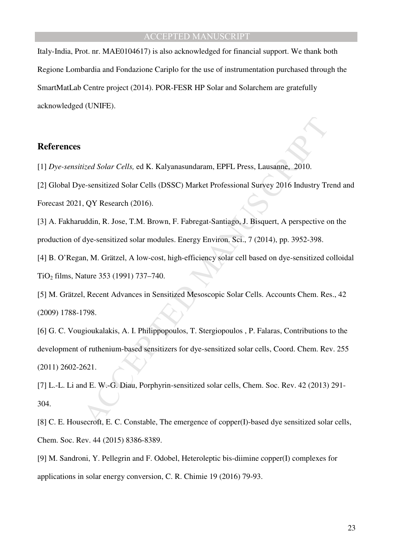Italy-India, Prot. nr. MAE0104617) is also acknowledged for financial support. We thank both Regione Lombardia and Fondazione Cariplo for the use of instrumentation purchased through the SmartMatLab Centre project (2014). POR-FESR HP Solar and Solarchem are gratefully acknowledged (UNIFE).

#### **References**

[1] *Dye-sensitized Solar Cells,* ed K. Kalyanasundaram, EPFL Press, Lausanne, 2010.

[2] Global Dye-sensitized Solar Cells (DSSC) Market Professional Survey 2016 Industry Trend and Forecast 2021, QY Research (2016).

[3] A. Fakharuddin, R. Jose, T.M. Brown, F. Fabregat-Santiago, J. Bisquert, A perspective on the production of dye-sensitized solar modules. Energy Environ. Sci., 7 (2014), pp. 3952-398.

[4] B. O'Regan, M. Grätzel, A low-cost, high-efficiency solar cell based on dye-sensitized colloidal TiO <sup>2</sup> films, Nature 353 (1991) 737–740.

[5] M. Grätzel, Recent Advances in Sensitized Mesoscopic Solar Cells. Accounts Chem. Res., 42 (2009) 1788-1798.

ized *Solar Cells*, ed K. Kalyanasundaram, EPFL Press, Lausanne, 2010.<br>
e-sensitized Solar Cells (DSSC) Market Professional Survey 2016 Industry Tren<br>
, QY Rescarch (2016).<br>
uddin, R. Jose, T.M. Brown, F. Fabregat-Santiago [6] G. C. Vougioukalakis, A. I. Philippopoulos, T. Stergiopoulos , P. Falaras, Contributions to the development of ruthenium-based sensitizers for dye-sensitized solar cells, Coord. Chem. Rev. 255 (2011) 2602-2621.

[7] L.-L. Li and E. W.-G. Diau, Porphyrin-sensitized solar cells, Chem. Soc. Rev. 42 (2013) 291- 304.

[8] C. E. Housecroft, E. C. Constable, The emergence of copper(I)-based dye sensitized solar cells, Chem. Soc. Rev. 44 (2015) 8386-8389.

[9] M. Sandroni, Y. Pellegrin and F. Odobel, Heteroleptic bis-diimine copper(I) complexes for applications in solar energy conversion, C. R. Chimie 19 (2016) 79-93.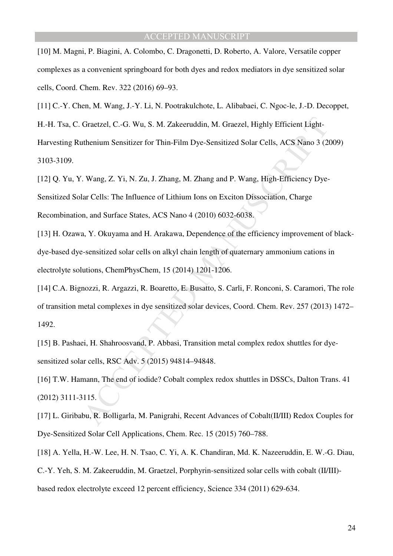[10] M. Magni, P. Biagini, A. Colombo, C. Dragonetti, D. Roberto, A. Valore, Versatile copper complexes as a convenient springboard for both dyes and redox mediators in dye sensitized solar cells, Coord. Chem. Rev. 322 (2016) 69–93.

Graetzel, C.-G. Wu, S. M. Zakecruddin, M. Graezel, Highly Efficient Light-<br>uthenium Sensitizer for Thin-Film Dye-Sensitized Solar Cells, ACS Nano 3 (200<br>. Wang, Z. Yi, N. Zu, J. Zhang, M. Zhang and P. Wang, High-Efficiency [11] C.-Y. Chen, M. Wang, J.-Y. Li, N. Pootrakulchote, L. Alibabaei, C. Ngoc-le, J.-D. Decoppet, H.-H. Tsa, C. Graetzel, C.-G. Wu, S. M. Zakeeruddin, M. Graezel, Highly Efficient Light-Harvesting Ruthenium Sensitizer for Thin-Film Dye-Sensitized Solar Cells, ACS Nano 3 (2009) 3103-3109.

[12] Q. Yu, Y. Wang, Z. Yi, N. Zu, J. Zhang, M. Zhang and P. Wang, High-Efficiency Dye-Sensitized Solar Cells: The Influence of Lithium Ions on Exciton Dissociation, Charge Recombination, and Surface States, ACS Nano 4 (2010) 6032-6038.

[13] H. Ozawa, Y. Okuyama and H. Arakawa, Dependence of the efficiency improvement of blackdye-based dye-sensitized solar cells on alkyl chain length of quaternary ammonium cations in electrolyte solutions, ChemPhysChem, 15 (2014) 1201-1206.

[14] C.A. Bignozzi, R. Argazzi, R. Boaretto, E. Busatto, S. Carli, F. Ronconi, S. Caramori, The role of transition metal complexes in dye sensitized solar devices, Coord. Chem. Rev. 257 (2013) 1472– 1492.

[15] B. Pashaei, H. Shahroosvand, P. Abbasi, Transition metal complex redox shuttles for dyesensitized solar cells, RSC Adv. 5 (2015) 94814–94848.

[16] T.W. Hamann, The end of iodide? Cobalt complex redox shuttles in DSSCs, Dalton Trans. 41 (2012) 3111-3115.

[17] L. Giribabu, R. Bolligarla, M. Panigrahi, Recent Advances of Cobalt(II/III) Redox Couples for Dye-Sensitized Solar Cell Applications, Chem. Rec. 15 (2015) 760–788.

[18] A. Yella, H.-W. Lee, H. N. Tsao, C. Yi, A. K. Chandiran, Md. K. Nazeeruddin, E. W.-G. Diau, C.-Y. Yeh, S. M. Zakeeruddin, M. Graetzel, Porphyrin-sensitized solar cells with cobalt (II/III) based redox electrolyte exceed 12 percent efficiency, Science 334 (2011) 629-634.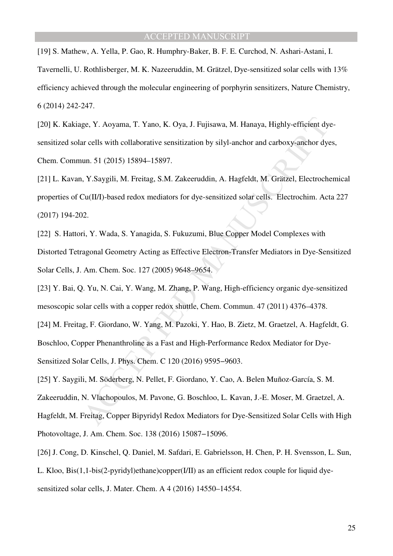[19] S. Mathew, A. Yella, P. Gao, R. Humphry-Baker, B. F. E. Curchod, N. Ashari-Astani, I. Tavernelli, U. Rothlisberger, M. K. Nazeeruddin, M. Grätzel, Dye-sensitized solar cells with 13% efficiency achieved through the molecular engineering of porphyrin sensitizers, Nature Chemistry, 6 (2014) 242-247.

[20] K. Kakiage, Y. Aoyama, T. Yano, K. Oya, J. Fujisawa, M. Hanaya, Highly-efficient dyesensitized solar cells with collaborative sensitization by silyl-anchor and carboxy-anchor dyes,

Chem. Commun. 51 (2015) 15894–15897.

[21] L. Kavan, Y.Saygili, M. Freitag, S.M. Zakeeruddin, A. Hagfeldt, M. Grätzel, Electrochemical properties of Cu(II/I)-based redox mediators for dye-sensitized solar cells. Electrochim. Acta 227 (2017) 194-202.

ge, Y. Aoyama, T. Yano, K. Oya, J. Fujisawa, M. Hanaya, Highly-efficient dyear cells with collaborative sensitization by silyl-anchor and carboxy-anchor dyes, un. 51 (2015) 15894–15897.<br>
un. 51 (2015) 15894–15897.<br>
U. Y. S [22] S. Hattori, Y. Wada, S. Yanagida, S. Fukuzumi, Blue Copper Model Complexes with Distorted Tetragonal Geometry Acting as Effective Electron-Transfer Mediators in Dye-Sensitized Solar Cells, J. Am. Chem. Soc. 127 (2005) 9648–9654.

[23] Y. Bai, Q. Yu, N. Cai, Y. Wang, M. Zhang, P. Wang, High-efficiency organic dye-sensitized mesoscopic solar cells with a copper redox shuttle, Chem. Commun. 47 (2011) 4376–4378.

[24] M. Freitag, F. Giordano, W. Yang, M. Pazoki, Y. Hao, B. Zietz, M. Graetzel, A. Hagfeldt, G. Boschloo, Copper Phenanthroline as a Fast and High-Performance Redox Mediator for Dye-Sensitized Solar Cells, J. Phys. Chem. C 120 (2016) 9595−9603.

[25] Y. Saygili, M. Söderberg, N. Pellet, F. Giordano, Y. Cao, A. Belen Muñoz-García, S. M.

Zakeeruddin, N. Vlachopoulos, M. Pavone, G. Boschloo, L. Kavan, J.-E. Moser, M. Graetzel, A.

Hagfeldt, M. Freitag, Copper Bipyridyl Redox Mediators for Dye-Sensitized Solar Cells with High Photovoltage, J. Am. Chem. Soc. 138 (2016) 15087−15096.

[26] J. Cong, D. Kinschel, Q. Daniel, M. Safdari, E. Gabrielsson, H. Chen, P. H. Svensson, L. Sun, L. Kloo, Bis(1,1-bis(2-pyridyl)ethane)copper(I/II) as an efficient redox couple for liquid dyesensitized solar cells, J. Mater. Chem. A 4 (2016) 14550–14554.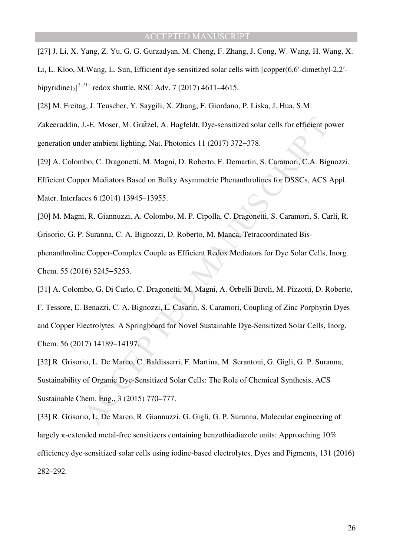[27] J. Li, X. Yang, Z. Yu, G. G. Gurzadyan, M. Cheng, F. Zhang, J. Cong, W. Wang, H. Wang, X.

Li, L. Kloo, M.Wang, L. Sun, Efficient dye-sensitized solar cells with [copper(6,6'-dimethyl-2,2'-

bipyridine)<sub>2</sub>]<sup>2+/1+</sup> redox shuttle, RSC Adv. 7 (2017) 4611–4615.

[28] M. Freitag, J. Teuscher, Y. Saygili, X. Zhang, F. Giordano, P. Liska, J. Hua, S.M.

Zakeeruddin, J.-E. Moser, M. Grätzel, A. Hagfeldt, Dye-sensitized solar cells for efficient power generation under ambient lighting, Nat. Photonics 11 (2017) 372−378.

[29] A. Colombo, C. Dragonetti, M. Magni, D. Roberto, F. Demartin, S. Caramori, C.A. Bignozzi, Efficient Copper Mediators Based on Bulky Asymmetric Phenanthrolines for DSSCs, ACS Appl. Mater. Interfaces 6 (2014) 13945–13955.

[30] M. Magni, R. Giannuzzi, A. Colombo, M. P. Cipolla, C. Dragonetti, S. Caramori, S. Carli, R. Grisorio, G. P. Suranna, C. A. Bignozzi, D. Roberto, M. Manca, Tetracoordinated Bisphenanthroline Copper-Complex Couple as Efficient Redox Mediators for Dye Solar Cells, Inorg.

Chem. 55 (2016) 5245−5253.

J.-E. Moser, M. Grätzel, A. Hagfeldt, Dyc-sensitized solar cells for efficient pow<br>der ambient lighting, Nat. Photonics 11 (2017) 372–378.<br>bbo, C. Dragonetti, M. Magni, D. Roberto, F. Demartin, S. Caramori, C.A. Bigne<br>per [31] A. Colombo, G. Di Carlo, C. Dragonetti, M. Magni, A. Orbelli Biroli, M. Pizzotti, D. Roberto, F. Tessore, E. Benazzi, C. A. Bignozzi, L. Casarin, S. Caramori, Coupling of Zinc Porphyrin Dyes and Copper Electrolytes: A Springboard for Novel Sustainable Dye-Sensitized Solar Cells, Inorg. Chem. 56 (2017) 14189−14197.

[32] R. Grisorio, L. De Marco, C. Baldisserri, F. Martina, M. Serantoni, G. Gigli, G. P. Suranna, Sustainability of Organic Dye-Sensitized Solar Cells: The Role of Chemical Synthesis, ACS Sustainable Chem. Eng., 3 (2015) 770–777.

[33] R. Grisorio, L, De Marco, R. Giannuzzi, G. Gigli, G. P. Suranna, Molecular engineering of largely π-extended metal-free sensitizers containing benzothiadiazole units: Approaching 10% efficiency dye-sensitized solar cells using iodine-based electrolytes, Dyes and Pigments, 131 (2016) 282–292.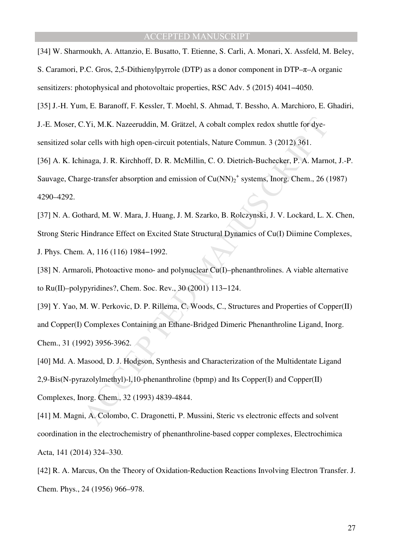[34] W. Sharmoukh, A. Attanzio, E. Busatto, T. Etienne, S. Carli, A. Monari, X. Assfeld, M. Beley, S. Caramori, P.C. Gros, 2,5-Dithienylpyrrole (DTP) as a donor component in DTP– π–A organic sensitizers: photophysical and photovoltaic properties, RSC Adv. 5 (2015) 4041−4050.

[35] J.-H. Yum, E. Baranoff, F. Kessler, T. Moehl, S. Ahmad, T. Bessho, A. Marchioro, E. Ghadiri, J.-E. Moser, C.Yi, M.K. Nazeeruddin, M. Grätzel, A cobalt complex redox shuttle for dyesensitized solar cells with high open-circuit potentials, Nature Commun. 3 (2012) 361.

[36] A. K. Ichinaga, J. R. Kirchhoff, D. R. McMillin, C. O. Dietrich-Buchecker, P. A. Marnot, J.-P. Sauvage, Charge-transfer absorption and emission of  $Cu(NN)_2$ <sup>+</sup> systems, Inorg. Chem., 26 (1987) 4290–4292.

[37] N. A. Gothard, M. W. Mara, J. Huang, J. M. Szarko, B. Rolczynski, J. V. Lockard, L. X. Chen, Strong Steric Hindrance Effect on Excited State Structural Dynamics of Cu(I) Diimine Complexes, J. Phys. Chem. A, 116 (116) 1984−1992.

[38] N. Armaroli, Photoactive mono- and polynuclear Cu(I)–phenanthrolines. A viable alternative to Ru(II)–polypyridines?, Chem. Soc. Rev., 30 (2001) 113−124.

2. Yi, M.K. Nazecruddin, M. Grätzel, A cobalt complex redox shuttle for dyear cells with high open-circuit potentials, Nature Commun. 3 (2012) 361.<br>
inaga, J. R. Kirchhoff, D. R. McMillin, C. O. Dictrich-Buchecker, P. A. M [39] Y. Yao, M. W. Perkovic, D. P. Rillema, C. Woods, C., Structures and Properties of Copper(II) and Copper(I) Complexes Containing an Ethane-Bridged Dimeric Phenanthroline Ligand, Inorg. Chem., 31 (1992) 3956-3962.

[40] Md. A. Masood, D. J. Hodgson, Synthesis and Characterization of the Multidentate Ligand 2,9-Bis(N-pyrazolylmethyl)-l,10-phenanthroline (bpmp) and Its Copper(I) and Copper(II) Complexes, Inorg. Chem., 32 (1993) 4839-4844.

[41] M. Magni, A. Colombo, C. Dragonetti, P. Mussini, Steric vs electronic effects and solvent coordination in the electrochemistry of phenanthroline-based copper complexes, Electrochimica Acta, 141 (2014) 324–330.

[42] R. A. Marcus, On the Theory of Oxidation-Reduction Reactions Involving Electron Transfer. J. Chem. Phys., 24 (1956) 966–978.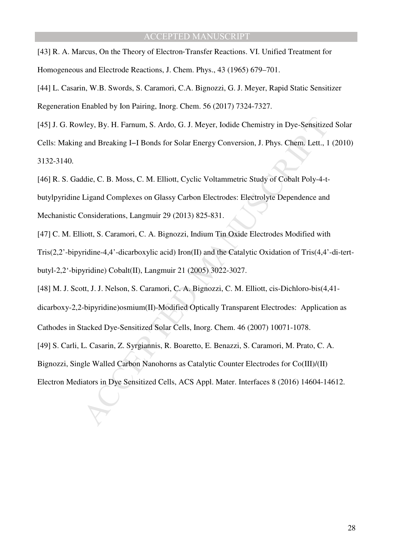[43] R. A. Marcus, On the Theory of Electron-Transfer Reactions. VI. Unified Treatment for Homogeneous and Electrode Reactions, J. Chem. Phys., 43 (1965) 679–701.

[44] L. Casarin, W.B. Swords, S. Caramori, C.A. Bignozzi, G. J. Meyer, Rapid Static Sensitizer Regeneration Enabled by Ion Pairing, Inorg. Chem. 56 (2017) 7324-7327.

[45] J. G. Rowley, By. H. Farnum, S. Ardo, G. J. Meyer, Iodide Chemistry in Dye-Sensitized Solar Cells: Making and Breaking I−I Bonds for Solar Energy Conversion, J. Phys. Chem. Lett., 1 (2010) 3132-3140.

vley, By. H. Farnum, S. Ardo, G. J. Meyer, Iodide Chemistry in Dye-Sensitized S.<br>
and Breaking I–I Bonds for Solar Energy Conversion, J. Phys. Chem. Lett., 1 (2<br>
ddie, C. B. Moss, C. M. Elliott, Cyclic Voltammetric Study o [46] R. S. Gaddie, C. B. Moss, C. M. Elliott, Cyclic Voltammetric Study of Cobalt Poly-4-tbutylpyridine Ligand Complexes on Glassy Carbon Electrodes: Electrolyte Dependence and Mechanistic Considerations, Langmuir 29 (2013) 825-831.

[47] C. M. Elliott, S. Caramori, C. A. Bignozzi, Indium Tin Oxide Electrodes Modified with Tris(2,2'-bipyridine-4,4'-dicarboxylic acid) Iron(II) and the Catalytic Oxidation of Tris(4,4'-di-tert butyl-2,2'-bipyridine) Cobalt(II), Langmuir 21 (2005) 3022-3027.

[48] M. J. Scott, J. J. Nelson, S. Caramori, C. A. Bignozzi, C. M. Elliott, cis-Dichloro-bis(4,41-

dicarboxy-2,2-bipyridine)osmium(II)-Modified Optically Transparent Electrodes: Application as Cathodes in Stacked Dye-Sensitized Solar Cells, Inorg. Chem. 46 (2007) 10071-1078.

[49] S. Carli, L. Casarin, Z. Syrgiannis, R. Boaretto, E. Benazzi, S. Caramori, M. Prato, C. A.

Bignozzi, Single Walled Carbon Nanohorns as Catalytic Counter Electrodes for Co(III)/(II)

Electron Mediators in Dye Sensitized Cells, ACS Appl. Mater. Interfaces 8 (2016) 14604-14612.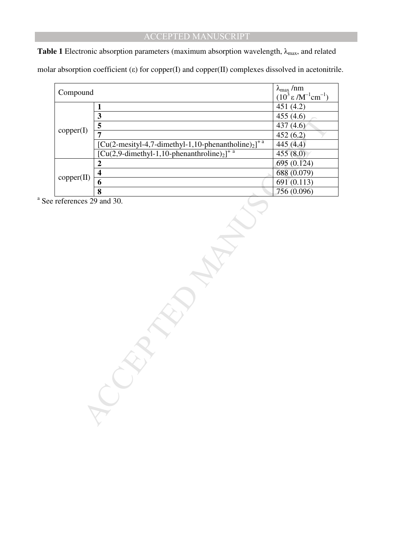**Table 1** Electronic absorption parameters (maximum absorption wavelength,  $\lambda_{\text{max}}$ , and related

molar absorption coefficient (ε) for copper(I) and copper(II) complexes dissolved in acetonitrile.

| Compound   |                                                                          | $\lambda_{\text{max}}$ /nm<br>$(10^3 \,\epsilon/M^{-1} \text{cm}^{-1})$ |  |
|------------|--------------------------------------------------------------------------|-------------------------------------------------------------------------|--|
|            |                                                                          | 451(4.2)                                                                |  |
| copper(I)  | 3                                                                        | 455(4.6)                                                                |  |
|            | 5                                                                        | 437 $(4.6)$                                                             |  |
|            |                                                                          | 452(6.2)                                                                |  |
|            | $\left[ Cu(2-mesityl-4,7-dimethyl-1,10-phenantholine)_{2} \right]^{+a}$  | 445(4.4)                                                                |  |
|            | $\overline{[Cu(2,9-dimethyl-1,10-phenanthroline)_2]}^{4}$ <sup>+ a</sup> | 455(8.0)                                                                |  |
| copper(II) | 2                                                                        | 695 (0.124)                                                             |  |
|            | 4                                                                        | 688 (0.079)                                                             |  |
|            | 6                                                                        | 691 (0.113)                                                             |  |
|            | 8                                                                        | 756 (0.096)                                                             |  |

a See references 29 and 30.

**RANUSCRIPT**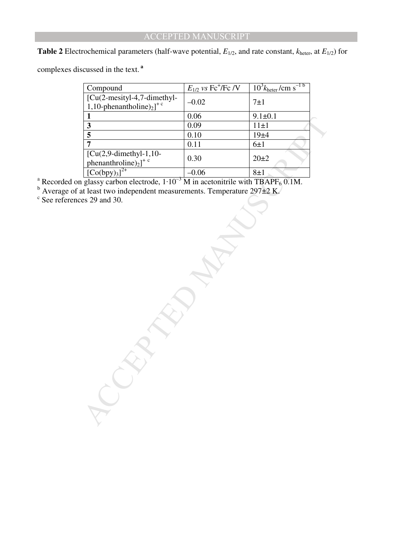**Table 2** Electrochemical parameters (half-wave potential,  $E_{1/2}$ , and rate constant,  $k_{\text{heter}}$ , at  $E_{1/2}$ ) for

complexes discussed in the text.**<sup>a</sup>**

| Compound                                                                                                                                                                   | $E_{1/2}$ vs Fc <sup>+</sup> /Fc /V | $10^3$ <sub>kheter</sub> /cm s <sup>-1 b</sup> |
|----------------------------------------------------------------------------------------------------------------------------------------------------------------------------|-------------------------------------|------------------------------------------------|
| [Cu(2-mesityl-4,7-dimethyl-                                                                                                                                                | $-0.02$                             | $7\pm1$                                        |
| 1,10-phenantholine) <sub>2</sub> ] <sup>+c</sup>                                                                                                                           |                                     |                                                |
| $\mathbf{1}$                                                                                                                                                               | 0.06                                | $9.1 \pm 0.1$                                  |
| $\frac{3}{5}$                                                                                                                                                              | 0.09                                | $11 \pm 1$                                     |
|                                                                                                                                                                            | 0.10                                | $19 + 4$                                       |
| $\overline{7}$                                                                                                                                                             | 0.11                                | 6±1                                            |
| [Cu(2,9-dimethyl-1,10-<br>phenanthroline) $2^{1+}$ <sup>c</sup>                                                                                                            | 0.30                                | $20 + 2$                                       |
| $\left[\overline{\text{Co}(\text{bpy})_3}\right]^{2+}$                                                                                                                     | $-0.06$                             | $8\pm1$                                        |
| glassy carbon electrode, $1 \cdot 10^{-3}$ M in acetonitrile with TBAPF <sub>6</sub> 0.1M.<br>at least two independent measurements. Temperature 297±2 K.<br>es 29 and 30. |                                     |                                                |
|                                                                                                                                                                            |                                     |                                                |
|                                                                                                                                                                            |                                     |                                                |
|                                                                                                                                                                            |                                     |                                                |
|                                                                                                                                                                            |                                     |                                                |
|                                                                                                                                                                            |                                     |                                                |
|                                                                                                                                                                            |                                     |                                                |
|                                                                                                                                                                            |                                     |                                                |
|                                                                                                                                                                            |                                     |                                                |
|                                                                                                                                                                            |                                     |                                                |
|                                                                                                                                                                            |                                     |                                                |
|                                                                                                                                                                            |                                     |                                                |
|                                                                                                                                                                            |                                     |                                                |
|                                                                                                                                                                            |                                     |                                                |
|                                                                                                                                                                            |                                     |                                                |
|                                                                                                                                                                            |                                     |                                                |
|                                                                                                                                                                            |                                     |                                                |
|                                                                                                                                                                            |                                     |                                                |

 $\frac{[Co(bpy)_3]^2}{[Co(bpy)_3]^2}$   $-0.06$  8±1 <br>
<sup>a</sup> Recorded on glassy carbon electrode,  $1 \cdot 10^{-3}$  M in acetonitrile with TBAPF<sub>6</sub> 0.1M.<br>
<sup>b</sup> Average of at least two independent measurements. Temperature 297±2 K.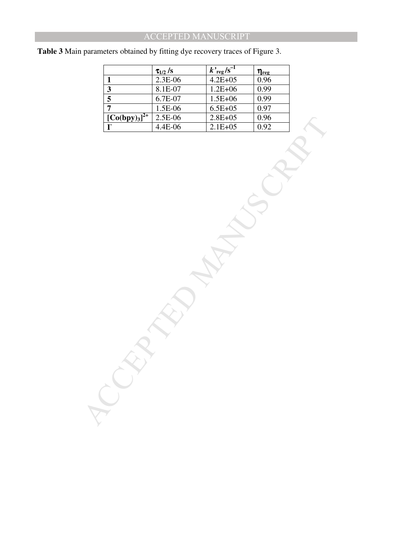| Table 3 Main parameters obtained by fitting dye recovery traces of Figure 3. |  |  |  |  |  |
|------------------------------------------------------------------------------|--|--|--|--|--|
|                                                                              |  |  |  |  |  |

|                              | $\tau_{1/2}$ /s | $k'_{\text{reg}}/s^{-1}$ | $\eta_{\text{reg}}$ |  |
|------------------------------|-----------------|--------------------------|---------------------|--|
| $\mathbf{1}$                 | $2.3E-06$       | $4.2E + 05$              | 0.96                |  |
| $\frac{3}{5}$                | $8.1E-07$       | $1.2E + 06$              | 0.99                |  |
|                              | $6.7E-07$       | $1.5E + 06$              | 0.99                |  |
| $\overline{7}$               | $1.5E-06$       | $6.5E + 05$              | $0.97\,$            |  |
| $\frac{[Co(bpy)_3]^{2+}}{I}$ | 2.5E-06         | $2.8E + 0.5$             | 0.96                |  |
|                              | 4.4E-06         | $2.1E + 05$              | 0.92                |  |
|                              |                 |                          |                     |  |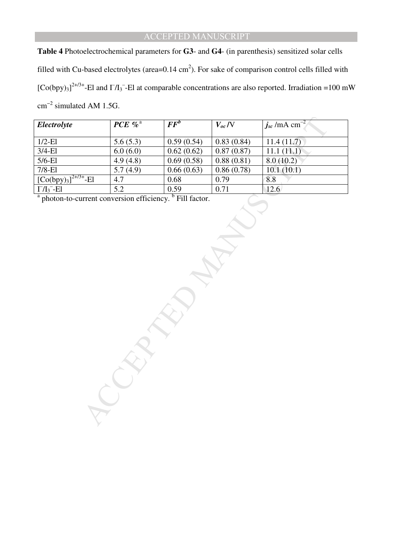**Table 4** Photoelectrochemical parameters for **G3**- and **G4**- (in parenthesis) sensitized solar cells filled with Cu-based electrolytes (area= $0.14 \text{ cm}^2$ ). For sake of comparison control cells filled with [Co(bpy)<sub>3</sub>]<sup>2+/3+</sup>-El and  $\Gamma/I_3$ <sup>--</sup>El at comparable concentrations are also reported. Irradiation =100 mW cm<sup>-2</sup> simulated AM 1.5G.

| Electrolyte                                                                     | $PCE \%$ <sup>a</sup> | $\overline{FF^b}$ | $V_{oc}$ /V | $j_{sc}$ /mA $cm^{-}$ |  |  |  |
|---------------------------------------------------------------------------------|-----------------------|-------------------|-------------|-----------------------|--|--|--|
| $1/2$ -El                                                                       | 5.6(5.3)              | 0.59(0.54)        | 0.83(0.84)  | 11.4(11.7)            |  |  |  |
| $3/4$ -El                                                                       | 6.0(6.0)              | 0.62(0.62)        | 0.87(0.87)  | 11.1(11.1)            |  |  |  |
| $5/6$ -El $\,$                                                                  | 4.9(4.8)              | 0.69(0.58)        | 0.88(0.81)  | 8.0(10.2)             |  |  |  |
| $7/8$ -El $\,$                                                                  | 5.7(4.9)              | 0.66(0.63)        | 0.86(0.78)  | 10.1(10.1)            |  |  |  |
| $[Co(bpy)_{3}]^{2+/3+}$ -El                                                     | 4.7                   | 0.68              | 0.79        | 8.8                   |  |  |  |
| $\overline{I^7/I_3^{\phantom{1}-}$ El                                           | $\overline{5.2}$      | 0.59              | 0.71        | 12.6                  |  |  |  |
|                                                                                 |                       |                   |             |                       |  |  |  |
| <sup>a</sup> photon-to-current conversion efficiency. <sup>b</sup> Fill factor. |                       |                   |             |                       |  |  |  |
|                                                                                 |                       |                   |             |                       |  |  |  |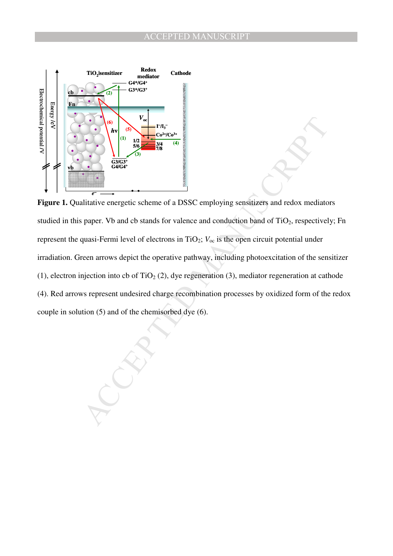

Manuscript ( $\frac{M_0}{M_0}$  ( $\frac{M_0}{M_0}$  ( $\frac{M_0}{M_0}$  ( $\frac{M_0}{M_0}$  ( $\frac{M_0}{M_0}$  ( $\frac{M_0}{M_0}$  ( $\frac{M_0}{M_0}$  ( $\frac{M_0}{M_0}$  ( $\frac{M_0}{M_0}$  ( $\frac{M_0}{M_0}$  ( $\frac{M_0}{M_0}$  ( $\frac{M_0}{M_0}$  ( $\frac{M_0}{M_0}$  is the operatio Figure 1. Qualitative energetic scheme of a DSSC employing sensitizers and redox mediators studied in this paper. Vb and cb stands for valence and conduction band of  $TiO<sub>2</sub>$ , respectively; Fn represent the quasi-Fermi level of electrons in  $TiO_2$ ;  $V_{oc}$  is the open circuit potential under irradiation. Green arrows depict the operative pathway, including photoexcitation of the sensitizer (1), electron injection into cb of  $TiO<sub>2</sub>$  (2), dye regeneration (3), mediator regeneration at cathode (4). Red arrows represent undesired charge recombination processes by oxidized form of the redox couple in solution (5) and of the chemisorbed dye (6).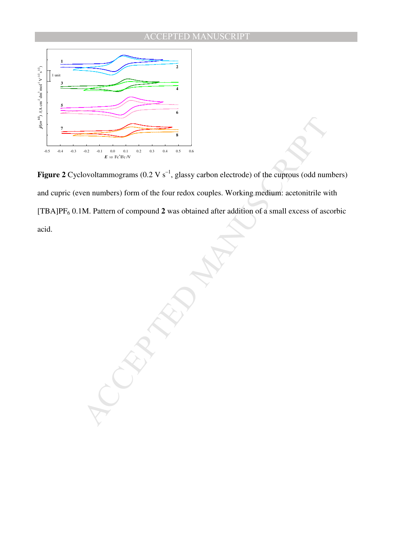

**Figure 2** Cyclovoltammograms (0.2 V  $s^{-1}$ , glassy carbon electrode) of the cuprous (odd numbers) and cupric (even numbers) form of the four redox couples. Working medium: acetonitrile with [TBA]PF <sup>6</sup> 0.1M. Pattern of compound **2** was obtained after addition of a small excess of ascorbic acid.

And All the star of compound 2 was obtained after addition of a small excess of ascort MA. Pattern of compound 2 was obtained after addition of a small excess of ascort MA. Pattern of compound 2 was obtained after additio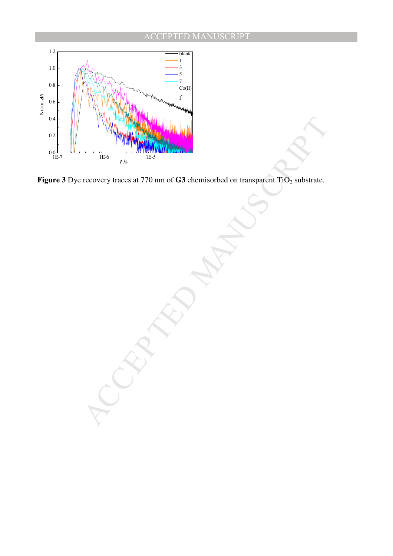

**Figure 3** Dye recovery traces at 770 nm of **G3** chemisorbed on transparent TiO 2 substrate.

Frequency traces at 770 nm of G3 chemisorbed on transparent TiO<sub>2</sub> substrate.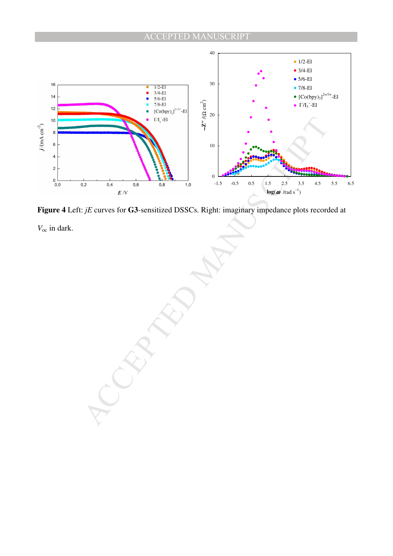

**Figure 4** Left: *jE* curves for **G3**-sensitized DSSCs. Right: imaginary impedance plots recorded at

*V*oc in dark.

 $\frac{1}{2^2}$ <br>  $\frac{1}{2^2}$ <br>  $\frac{1}{2^2}$ <br>  $\frac{1}{2^2}$ <br>  $\frac{1}{2^2}$ <br>  $\frac{1}{2^2}$ <br>  $\frac{1}{2^2}$ <br>  $\frac{1}{2^2}$ <br>  $\frac{1}{2^2}$ <br>  $\frac{1}{2^2}$ <br>  $\frac{1}{2^2}$ <br>  $\frac{1}{2^2}$ <br>  $\frac{1}{2^2}$ <br>  $\frac{1}{2^2}$ <br>  $\frac{1}{2^2}$ <br>  $\frac{1}{2^2}$ <br>  $\frac{1}{2^2}$ <br>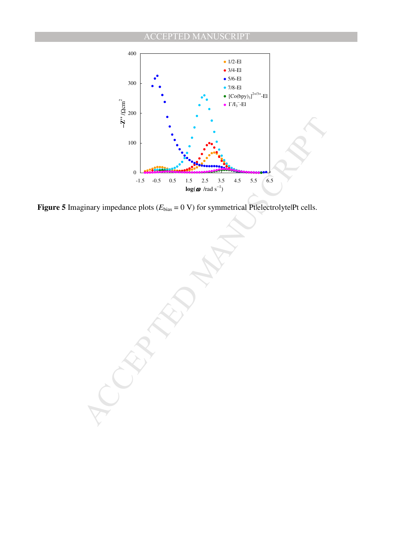

**Figure 5** Imaginary impedance plots  $(E_{bias} = 0 \text{ V})$  for symmetrical PtlelectrolytelPt cells.

Eq. (a)  $\frac{100}{1.5}$  = 43.5 = 43.5 = 43.5 = 54.5 = 54.5 = 6.5 = 6.5 = 6.6 = 6.0 × 6.7 = 6.7 = 6.7 = 6.7 = 6.7 = 6.7 = 6.7 = 6.7 = 6.7 = 6.7 = 6.7 = 6.7 = 6.7 = 6.7 = 6.7 = 6.7 = 6.7 = 6.7 = 6.7 = 6.7 = 6.7 = 6.7 = 6.7 =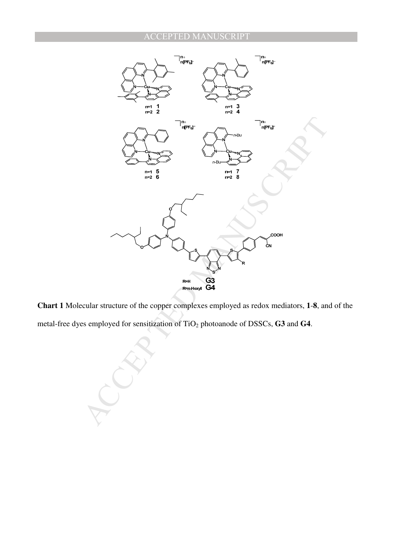

**Chart 1** Molecular structure of the copper complexes employed as redox mediators, **1** - **8**, and of the metal-free dyes employed for sensitization of TiO 2 photoanode of DSSCs, **G3** and **G4**.